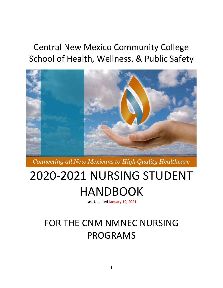## Central New Mexico Community College School of Health, Wellness, & Public Safety



Connecting all New Mexicans to High Quality Healthcare

# 2020-2021 NURSING STUDENT HANDBOOK

Last Updated January 19, 2021

## FOR THE CNM NMNEC NURSING PROGRAMS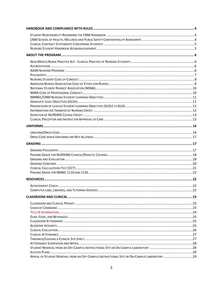| APPEAL OF STUDENT REMOVAL FROM AN OFF-CAMPUS INSTRUCTIONAL SITE OR ON-CAMPUS LABORATORY 29 |  |
|--------------------------------------------------------------------------------------------|--|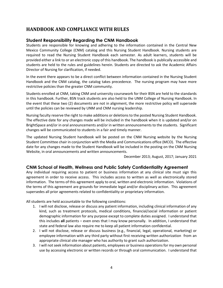## <span id="page-3-0"></span>**HANDBOOK AND COMPLIANCE WITH RULES**

## <span id="page-3-1"></span>**Student Responsibility Regarding the CNM Handbook**

Students are responsible for knowing and adhering to the information contained in the Central New Mexico Community College (CNM) catalog and this Nursing Student Handbook. Nursing students are required to read the Nursing Student Handbook each semester. As adult learners, students will be provided either a link to or an electronic copy of this handbook. The handbook is publically accessible and students are held to the rules and guidelines herein. Students are directed to ask the Academic Affairs Director of Nursing for clarification, if needed.

In the event there appears to be a direct conflict between information contained in the Nursing Student Handbook and the CNM catalog, the catalog takes precedence. The nursing program may have more restrictive policies than the greater CNM community.

Students enrolled at CNM, taking CNM and university coursework for their BSN are held to the standards in this handbook. Further, BSN track students are also held to the UNM College of Nursing Handbook. In the event that these two (2) documents are not in alignment, the more restrictive policy will supersede until the policies can be reviewed by UNM and CNM nursing leadership.

Nursing faculty reserve the right to make additions or deletions to the posted Nursing Student Handbook. The effective date for any changes made will be included in the handbook when it is updated and/or on BrightSpace and/or in oral announcements and/or in written announcements to the students. Significant changes will be communicated to students in a fair and timely manner.

The updated Nursing Student handbook will be posted on the CNM Nursing website by the Nursing Student Committee chair in conjunction with the Media and Communications office (MCO). The effective date for any changes made to the Student Handbook will be included in the posting on the CNM Nursing Website, in oral announcements and written announcements.

December 2013; August, 2017; January 2021

## <span id="page-3-2"></span>**CNM School of Health, Wellness and Public Safety Confidentiality Agreement**

Any individual requiring access to patient or business information at any clinical site must sign this agreement in order to receive access. This includes access to written as well as electronically stored information. The terms of this agreement apply to oral, written and electronic information. Violations of the terms of this agreement are grounds for immediate legal and/or disciplinary action. This agreement supersedes all prior agreements related to confidentiality or proprietary information.

All students are held accountable to the following conditions:

- 1. I will not disclose, release or discuss any patient information, including clinical information of any kind, such as treatment protocols, medical conditions, financial/social information or patient demographic information for any purpose except to complete duties assigned. I understand that this includes **all** patients – even ones that I may know personally. In addition, I understand that state and federal law also require me to keep all patient information confidential.
- 2. I will not disclose, release or discuss business (e.g., financial, legal, operational, marketing) or employee information with any third party without first receiving written authorization from an appropriate clinical site manager who has authority to grant such authorization.
- 3. I will not seek information about patients, employees or business operations for my own personal use by accessing electronic or written records or through oral communication. I understand that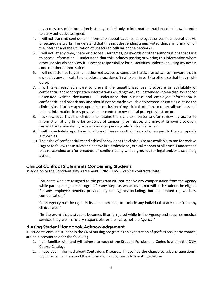my access to such information is strictly limited only to information that I need to know in order to carry out duties assigned.

- 4. I will not transmit confidential information about patients, employees or business operations via unsecured networks. I understand that this includes sending unencrypted clinical information on the Internet and the utilization of unsecured cellular phone networks.
- 5. I will not, at any time, share or disclose usernames, passwords or other authorizations that I use to access information. I understand that this includes posting or writing this information where other individuals can view it. I accept responsibility for all activities undertaken using my access code or other authorization.
- 6. I will not attempt to gain unauthorized access to computer hardware/software/firmware that is owned by any clinical site or disclose procedures (in whole or in part) to others so that they might do so.
- 7. I will take reasonable care to prevent the unauthorized use, disclosure or availability or confidential and/or proprietary information including through unattended screen displays and/or unsecured written documents. I understand that business and employee information is confidential and proprietary and should not be made available to persons or entities outside the clinical site. I further agree, upon the conclusion of my clinical rotation, to return all business and patient information in my possession or control to my clinical preceptor/instructor.
- 8. I acknowledge that the clinical site retains the right to monitor and/or review my access to information at any time for evidence of tampering or misuse, and may, at its own discretion, suspend or terminate my access privileges pending administrative review.
- 9. I will immediately report any violations of these rules that I know of or suspect to the appropriate authorities.
- 10. The rules of confidentiality and ethical behavior at the clinical site are available to me for review. I agree to follow these rules and behave in a professional, ethical manner at all times. I understand that misconduct and/or breaches of confidentiality will be grounds for legal and/or disciplinary action.

## <span id="page-4-0"></span>**Clinical Contract Statements Concerning Students**

In addition to the Confidentiality Agreement, CNM – HWPS clinical contracts state:

"Students who are assigned to the program will not receive any compensation from the Agency while participating in the program for any purpose, whatsoever, nor will such students be eligible for any employee benefits provided by the Agency including, but not limited to, workers' compensation."

"…an Agency has the right, in its sole discretion, to exclude any individual at any time from any clinical area."

"In the event that a student becomes ill or is injured while in the Agency and requires medical services they are financially responsible for their care, not the Agency."

#### <span id="page-4-1"></span>**Nursing Student Handbook Acknowledgement**

All students enrolled student in the CNM nursing program as an expectation of professional performance, are held accountable for the following:

- 1. I am familiar with and will adhere to each of the Student Policies and Codes found in the CNM Course Catalog.
- 2. I have been informed about Contagious Diseases. I have had the chance to ask any questions I might have. I understand the information and agree to follow its guidelines.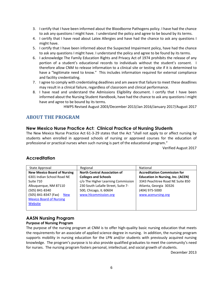- 3. I certify that I have been informed about the Bloodborne Pathogens policy. I have had the chance to ask any questions I might have. I understand the policy and agree to be bound by its terms.
- 4. I certify that I have read about Latex Allergies and have had the chance to ask any questions I might have.
- 5. I certify that I have been informed about the Suspected Impairment policy, have had the chance to ask any questions I might have. I understand the policy and agree to be found by its terms.
- 6. I acknowledge The Family Education Rights and Privacy Act of 1974 prohibits the release of any portion of a student's educational records to individuals without the student's consent. I therefore allow CNM to release information to a clinical site or testing site if it is determined to have a "legitimate need to know." This includes information required for external compliance and facility credentialing.
- 7. I agree to comply with credentialing deadlines and am aware that failure to meet these deadlines may result in a clinical failure, regardless of classroom and clinical performance.
- 8. I have read and understand the Admissions Eligibility document. I certify that I have been informed about the Nursing Student Handbook, have had the chance to ask any questions I might have and agree to be bound by its terms.

HWPS Revised August 2003/December 2013/Jan 2016/January 2017/August 2017

## <span id="page-5-0"></span>**ABOUT THE PROGRAM**

#### <span id="page-5-1"></span>**New Mexico Nurse Practice Act: Clinical Practice of Nursing Students**

The New Mexico Nurse Practice Act 61-3-29 states that the Act "shall not apply to or affect nursing by students when enrolled in approved schools of nursing or approved courses for the education of professional or practical nurses when such nursing is part of the educational program."

Verified August 2017

## <span id="page-5-2"></span>**Accreditation**

| State Approval                     | Regional                            | National                                 |
|------------------------------------|-------------------------------------|------------------------------------------|
| <b>New Mexico Board of Nursing</b> | <b>North Central Association of</b> | <b>Accreditation Commission for</b>      |
| 6301 Indian School Road NE         | <b>Colleges and Schools</b>         | <b>Education in Nursing, Inc. (ACEN)</b> |
| Suite 710                          | c/o The Higher Learning Commission  | 3343 Peachtree Road NE Suite 850         |
| Albuquerque, NM 87110              | 230 South LaSalle Street, Suite 7-  | Atlanta, Georgia 30326                   |
| (505) 841-8340                     | 500, Chicago, IL 60604              | (404) 975-5000                           |
| (505) 841-8347 (Fax)<br><b>New</b> | www.hlcommission.org                | www.acenursing.org                       |
| <b>Mexico Board of Nursing</b>     |                                     |                                          |
| Website                            |                                     |                                          |
|                                    |                                     |                                          |

## <span id="page-5-3"></span>**AASN Nursing Program**

#### **Purpose of Nursing Program**

The purpose of the nursing program at CNM is to offer high-quality basic nursing education that meets the requirements for an associate of applied science degree in nursing. In addition, the nursing program supports mobility in nursing education for the LPN and/or students with previously acquired nursing knowledge. The program's purpose is to also provide qualified graduates to meet the community's need for nurses. The nursing program fosters personal, intellectual, and social growth of students.

December 2013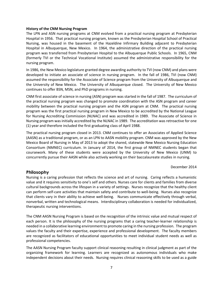#### **History of the CNM Nursing Program**

The LPN and ASN nursing programs at CNM evolved from a practical nursing program at Presbyterian Hospital in 1956. That practical nursing program, known as the Presbyterian Hospital School of Practical Nursing, was housed in the basement of the Hazeldine Infirmary Building adjacent to Presbyterian Hospital in Albuquerque, New Mexico. In 1964, the administrative direction of the practical nursing program was transferred from Presbyterian Hospital to the Albuquerque Public Schools. In 1965, CNM (formerly TVI or the Technical Vocational Institute) assumed the administrative responsibility for the nursing program.

In 1986, the New Mexico legislature granted degree awarding authority to TVI (now CNM) and plans were developed to initiate an associate of science in nursing program. In the fall of 1986, TVI (now CNM) assumed the responsibility for the Associate of Science program from the University of Albuquerque and the University of New Mexico. The University of Albuquerque closed. The University of New Mexico continues to offer BSN, MSN, and PhD programs in nursing.

CNM first associate of science in nursing (ASN) program was started in the fall of 1987. The curriculum of the practical nursing program was changed to promote coordination with the ASN program and career mobility between the practical nursing program and the ASN program at CNM. The practical nursing program was the first practical nursing program in New Mexico to be accredited by the National League for Nursing Accrediting Commission (NLNAC) and was accredited in 1989. The Associate of Science in Nursing program was initially accredited by the NLNAC in 1989. The accreditation was retroactive for one (1) year and therefore included the first graduating class of April 1988.

The practical nursing program closed in 2013. CNM continues to offer an Associates of Applied Science (AASN) as a traditional program, or as an LPN to AASN mobility program. CNM was approved by the New Mexico Board of Nursing in May of 2013 to adopt the shared, statewide New Mexico Nursing Education Consortium (NMNEC) curriculum. In January of 2014, the first group of NMNEC students began that coursework. Many of these students were accepted by the University of New Mexico (UNM) to concurrently pursue their AASN while also actively working on their baccalaureate studies in nursing.

#### December 2014

#### <span id="page-6-0"></span>**Philosophy**

Nursing is a caring profession that reflects the science and art of nursing. Caring reflects a humanistic value and it requires sensitivity to one's self and others. Nurses care for clients and families from diverse cultural backgrounds across the lifespan in a variety of settings. Nurses recognize that the healthy client can perform self-care activities that maintain safety and contribute to well-being. Nurses also recognize that clients vary in their ability to achieve well-being. Nurses communicate effectively through verbal, nonverbal, written and technological means. Interdisciplinary collaboration is needed for individualized, therapeutic nursing interventions.

The CNM AASN Nursing Program is based on the recognition of the intrinsic value and mutual respect of each person. It is the philosophy of the nursing programs that a caring teacher-learner relationship is needed in a collaborative learning environment to promote caring in the nursing profession. The program values the faculty and their expertise, experience and professional development. The faculty members are recognized as facilitators of educational opportunities to meet individual student needs as well as professional competencies.

The AASN Nursing Program faculty support clinical reasoning resulting in clinical judgment as part of the organizing framework for learning. Learners are recognized as autonomous individuals who make independent decisions about their needs. Nursing requires clinical reasoning skills to be used as a guide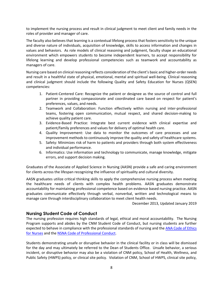to implement the nursing process and result in clinical judgment to meet client and family needs in the roles of provider and manager of care.

The faculty also believes that learning is a contextual lifelong process that fosters sensitivity to the unique and diverse nature of individuals, acquisition of knowledge, skills to access information and changes in values and behaviors. As role models of clinical reasoning and judgment, faculty shape an educational environment which empowers students to become independent learners, to accept responsibility for lifelong learning and develop professional competencies such as teamwork and accountability as managers of care.

Nursing care based on clinical reasoning reflects consideration of the client's basic and higher-order needs and result in a healthful state of physical, emotional, mental and spiritual well-being. Clinical reasoning and clinical judgment should include the following Quality and Safety Education for Nurses (QSEN) competencies:

- 1. Patient-Centered Care: Recognize the patient or designee as the source of control and full partner in providing compassionate and coordinated care based on respect for patient's preferences, values, and needs.
- 2. Teamwork and Collaboration: Function effectively within nursing and inter-professional teams, fostering open communication, mutual respect, and shared decision-making to achieve quality patient care.
- 3. Evidence-Based Practice: Integrate best current evidence with clinical expertise and patient/family preferences and values for delivery of optimal health care.
- 4. Quality Improvement: Use data to monitor the outcomes of care processes and use improvement methods to continuously improve the quality and safety of healthcare systems.
- 5. Safety: Minimizes risk of harm to patients and providers through both system effectiveness and individual performance.
- 6. Informatics: Use information and technology to communicate, manage knowledge, mitigate errors, and support decision making.

Graduates of the Associate of Applied Science in Nursing (AASN) provide a safe and caring environment for clients across the lifespan recognizing the influence of spirituality and cultural diversity.

AASN graduates utilize critical thinking skills to apply the comprehensive nursing process when meeting the healthcare needs of clients with complex health problems. AASN graduates demonstrate accountability for maintaining professional competence based on evidence based nursing practice. AASN graduates communicate effectively through verbal, nonverbal, written and technological means to manage care through interdisciplinary collaboration to meet client health needs.

December 2013, Updated January 2019

## <span id="page-7-0"></span>**Nursing Student Code of Conduct**

The nursing profession requires high standards of legal, ethical and moral accountability. The Nursing Program supports and abides by the CNM Student Code of Conduct, but nursing students are further expected to behave in compliance with the professional standards of nursing and th[e ANA Code of Ethics](#page-8-0)  [for Nurses](#page-8-0) and th[e NSNA Code of Professional Conduct.](#page-9-1)

Students demonstrating unsafe or disruptive behavior in the clinical facility or in class will be dismissed for the day and may ultimately be referred to the Dean of Students Office. Unsafe behavior, a serious incident, or disruptive behavior may also be a violation of CNM policy, School of Health, Wellness, and Public Safety (HWPS) policy, or clinical site policy. Violation of CNM, School of HWPS, clinical site policy,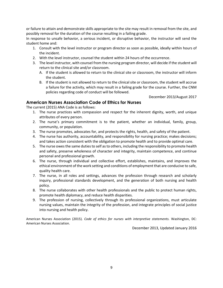or failure to attain and demonstrate skills appropriate to the site may result in removal from the site, and possibly removal for the duration of the course resulting in a failing grade.

In response to unsafe behavior, a serious incident, or disruptive behavior, the instructor will send the student home and:

- 1. Consult with the level instructor or program director as soon as possible, ideally within hours of the incident.
- 2. With the level instructor, counsel the student within 24 hours of the occurrence.
- 3. The level instructor, with counsel from the nursing program director, will decide if the student will return to the clinical site and/or classroom.
	- A. If the student is allowed to return to the clinical site or classroom, the instructor will inform the student.
	- B. If the student is not allowed to return to the clinical site or classroom, the student will accrue a failure for the activity, which may result in a failing grade for the course. Further, the CNM policies regarding code of conduct will be followed.

December 2013/August 2017

#### <span id="page-8-0"></span>**American Nurses Association Code of Ethics for Nurses**

The current (2015) ANA Code is as follows:

- 1. The nurse practices with compassion and respect for the inherent dignity, worth, and unique attributes of every person.
- 2. The nurse's primary commitment is to the patient, whether an individual, family, group, community, or population.
- 3. The nurse promotes, advocates for, and protects the rights, health, and safety of the patient.
- 4. The nurse has authority, accountability, and responsibility for nursing practice; makes decisions; and takes action consistent with the obligation to promote health and to provide optimal care.
- 5. The nurse owes the same duties to self as to others, including the responsibility to promote health and safety, preserve wholeness of character and integrity, maintain competence, and continue personal and professional growth.
- 6. The nurse, through individual and collective effort, establishes, maintains, and improves the ethical environment of the work setting and conditions of employment that are conducive to safe, quality health care.
- 7. The nurse, in all roles and settings, advances the profession through research and scholarly inquiry, professional standards development, and the generation of both nursing and health policy.
- 8. The nurse collaborates with other health professionals and the public to protect human rights, promote health diplomacy, and reduce health disparities.
- 9. The profession of nursing, collectively through its professional organizations, must articulate nursing values, maintain the integrity of the profession, and integrate principles of social justice into nursing and health policy.

American Nurses Association (2015). *Code of ethics for nurses with interpretive statements.* Washington, DC: American Nurses Association.

December 2013, Updated January 2016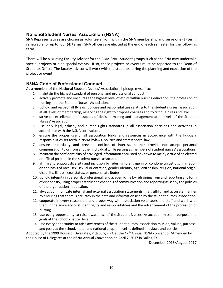## <span id="page-9-0"></span>**National Student Nurses' Association (NSNA)**

SNA Representatives are chosen as volunteers from within the SNA membership and serve one (1) term, renewable for up to four (4) terms. SNA officers are elected at the end of each semester for the following term.

There will be a Nursing Faculty Advisor for the CNM SNA. Student groups such as the SNA may undertake special projects or plan special events. If so, these projects or events must be reported to the Dean of Students Office. The faculty advisor will work with the students during the planning and execution of the project or event.

## <span id="page-9-1"></span>**NSNA Code of Professional Conduct**

As a member of the National Student Nurses' Association, I pledge myself to:

- 1. maintain the highest standard of personal and professional conduct.
- 2. actively promote and encourage the highest level of ethics within nursing education, the profession of nursing and the Student Nurses' Association.
- 3. uphold and respect all Bylaws, policies and responsibilities relating to the student nurses' association at all levels of membership, reserving the right to propose changes and to critique rules and laws.
- 4. strive for excellence in all aspects of decision-making and management at all levels of the Student Nurses' Association.
- 5. use only legal, ethical, and human rights standards in all association decisions and activities in accordance with the NSNA core values.
- 6. ensure the proper use of all association funds and resources in accordance with the fiduciary responsibilities set forth in NSNA bylaws, policies and state/federal law.
- 7. ensure impartiality and prevent conflicts of interest, neither provide nor accept personal compensation to or from another individual while serving as members of student nurses' associations.
- 8. maintain the confidentiality of privileged information entrusted or known to me by virtue of an elected or official position in the student nurses association.
- 9. affirm and support diversity and inclusion by refusing to engage in or condone unjust discrimination on the basis of race, sex, sexual orientation, gender identity, age, citizenship, religion, national origin, disability, illness, legal status, or personal attributes.
- 10. uphold integrity in personal, professional, and academic life by refraining from and reporting any form of dishonesty, using proper established channels of communication and reporting as set by the policies of the organization in question.
- 11. always communicate internal and external association statements in a truthful and accurate manner by ensuring that there is accuracy in the data and information used by the student nurses' association.
- 12. cooperate in every reasonable and proper way with association volunteers and staff and work with them in the advocacy of student rights and responsibilities and the advancement of the profession of nursing.
- 13. use every opportunity to raise awareness of the Student Nurses' Association mission, purpose and goals at the school chapter level.
- 14. Use every opportunity to raise awareness of the student nurses' association mission, values, purpose, and goals at the school, state, and national chapter level as defined in bylaws and policies.

Adopted by the 1999 House of Delegates, Pittsburgh, PA at the 47<sup>th</sup> Annual NSNA convention/Amended by the House of Delegates at the NSNA Annual Convention on April 7, 2017 in Dallas, TX

December 2013/August 2017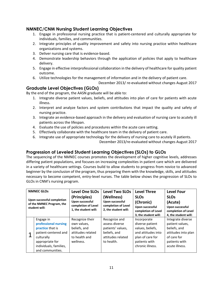## <span id="page-10-0"></span>**NMNEC/CNM Nursing Student Learning Objectives**

- 1. Engage in professional nursing practice that is patient-centered and culturally appropriate for individuals, families, and communities.
- 2. Integrate principles of quality improvement and safety into nursing practice within healthcare organizations and systems.
- 3. Deliver nursing care that is evidence-based.
- 4. Demonstrate leadership behaviors through the application of policies that apply to healthcare delivery.
- 5. Engage in effective interprofessional collaboration in the delivery of healthcare for quality patient outcome.
- 6. Utilize technologies for the management of information and in the delivery of patient care.

December 2013/ re-evaluated without changes August 2017

## <span id="page-10-1"></span>**Graduate Level Objectives (GLOs)**

By the end of the program, the AASN graduate will be able to:

- 1. Integrate diverse patient values, beliefs, and attitudes into plan of care for patients with acute illness.
- 2. Interpret and analyze factors and system contributions that impact the quality and safety of nursing practice.
- 3. Integrate an evidence-based approach in the delivery and evaluation of nursing care to acutely ill patients across the lifespan.
- 4. Evaluate the use of policies and procedures within the acute care setting.
- 5. Effectively collaborate with the healthcare team in the delivery of patient care.
- 6. Integrate use of appropriate technology for the delivery of nursing care to acutely ill patients.

December 2013/re-evaluated without changes August 2017

## <span id="page-10-2"></span>**Progression of Leveled Student Learning Objectives (SLOs) to GLOs**

The sequencing of the NMNEC courses promotes the development of higher cognitive levels, addresses differing patient populations, and focuses on increasing complexities in patient care which are delivered in a variety of healthcare settings. Courses build to allow students to progress from novice to advanced beginner by the conclusion of the program, thus preparing them with the knowledge, skills, and attitudes necessary to become competent, entry-level nurses. The table below shows the progression of SLOs to GLOs in CNM's nursing program.

| <b>NMNEC GLOS</b><br>Upon successful completion<br>of the NMNEC Program, the<br>student will:                                                                       | <b>Level One SLOs</b><br>(Principles)<br>Upon successful<br>completion of Level<br>1, the student will: | <b>Level Two SLOs</b><br>(Wellness)<br>Upon successful<br>completion of Level<br>2, the student will:   | <b>Level Three</b><br><b>SLOs</b><br>(Chronic)<br>Upon successful<br>completion of Level<br>3, the student will:                  | <b>Level Four</b><br><b>SLO<sub>s</sub></b><br>(Acute)<br>Upon successful<br>completion of Level<br>4, the student will:      |
|---------------------------------------------------------------------------------------------------------------------------------------------------------------------|---------------------------------------------------------------------------------------------------------|---------------------------------------------------------------------------------------------------------|-----------------------------------------------------------------------------------------------------------------------------------|-------------------------------------------------------------------------------------------------------------------------------|
| Engage in<br>professional nursing<br><b>practice</b> that is<br>patient-centered and<br>culturally<br>appropriate for<br>individuals, families,<br>and communities. | Recognize their<br>own values,<br>beliefs, and<br>attitudes related<br>to health and<br>wellness.       | Recognize and<br>assess diverse<br>patients' values,<br>beliefs, and<br>attitudes related<br>to health. | Incorporate<br>diverse patient<br>values, beliefs,<br>and attitudes into<br>plan of care for<br>patients with<br>chronic illness. | Integrate diverse<br>patient values,<br>beliefs, and<br>attitudes into plan<br>of care for<br>patients with<br>acute illness. |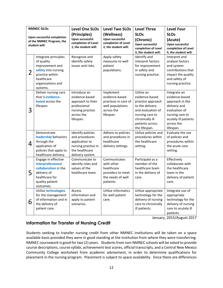|                | <b>NMNEC GLOS</b>                                                                                                                              | <b>Level One SLOs</b>                                                                                              | <b>Level Two SLOs</b>                                                                              | <b>Level Three</b>                                                                                                                                                  | <b>Level Four</b>                                                                                                                                        |
|----------------|------------------------------------------------------------------------------------------------------------------------------------------------|--------------------------------------------------------------------------------------------------------------------|----------------------------------------------------------------------------------------------------|---------------------------------------------------------------------------------------------------------------------------------------------------------------------|----------------------------------------------------------------------------------------------------------------------------------------------------------|
|                | <b>Upon successful completion</b><br>of the NMNEC Program, the<br>student will:                                                                | (Principles)<br><b>Upon successful</b><br>completion of Level<br>1, the student will:                              | (Wellness)<br><b>Upon successful</b><br>completion of Level<br>2, the student will:                | <b>SLOs</b><br>(Chronic)<br><b>Upon successful</b>                                                                                                                  | <b>SLOs</b><br>(Acute)<br><b>Upon successful</b>                                                                                                         |
|                |                                                                                                                                                |                                                                                                                    |                                                                                                    | completion of Level<br>3, the student will:                                                                                                                         | completion of Level<br>4, the student will:                                                                                                              |
| $\overline{2}$ | Integrate principles<br>of quality<br>improvement and<br>safety into nursing<br>practice within<br>healthcare<br>organizations and<br>systems. | Recognize and<br>identify safety<br>issues and risks.                                                              | Apply safety<br>measures to well<br>patient<br>populations.                                        | Identify and<br>interpret factors<br>for improvement<br>in safety and<br>nursing practice.                                                                          | Interpret and<br>analyze factors<br>and system<br>contributions that<br>impact the quality<br>and safety of<br>nursing practice.                         |
| 3              | Deliver nursing care<br>that is evidence-<br><b>based</b> across the<br>lifespan.                                                              | Introduce an<br>evidence-based<br>approach to their<br>professional<br>nursing practice<br>across the<br>lifespan. | Implement<br>evidence-based<br>practices in care of<br>well populations<br>across the<br>lifespan. | Utilize an<br>evidence-based<br>practice approach<br>to the delivery<br>and evaluation of<br>nursing care to<br>chronically ill<br>patients across<br>the lifespan. | Integrate an<br>evidence-based<br>approach in the<br>delivery and<br>evaluation of<br>nursing care to<br>acutely ill patients<br>across the<br>lifespan. |
| 4              | Demonstrate<br>leadership behaviors<br>through the<br>application of<br>policies that apply to<br>healthcare delivery.                         | Identify policies<br>and procedures<br>application to<br>nursing practice in<br>the healthcare<br>delivery system. | Adhere to policies<br>and procedures in<br>healthcare<br>delivery settings.                        | Utilize policies and<br>procedures within<br>the healthcare<br>setting.                                                                                             | Evaluate the use<br>of policies and<br>procedures within<br>the acute care<br>setting.                                                                   |
| 5              | Engage in effective<br>interprofessional<br>collaboration in the<br>delivery of<br>healthcare for<br>quality patient<br>outcomes.              | Communicate to<br>identify roles and<br>values of the<br>healthcare team.                                          | Communicates<br>with other<br>healthcare<br>providers to meet<br>the needs of well<br>patients.    | Participate as a<br>member of the<br>healthcare team<br>in the delivery of<br>care.                                                                                 | Effectively<br>collaborate with<br>the healthcare<br>team in the<br>delivery of patient<br>care.                                                         |
| 6              | Utilize technologies<br>for the management<br>of information and in<br>the delivery of<br>patient care.                                        | Access<br>information and<br>apply to patient<br>scenarios.                                                        | Utilize informatics<br>for well patient<br>care.                                                   | Utilize appropriate<br>technology for the<br>delivery of nursing<br>care to chronically<br>ill patients.                                                            | Integrate use of<br>appropriate<br>technology for the<br>delivery of nursing<br>care to acutely ill<br>patients.                                         |

January, 2015/August 2017

## <span id="page-11-0"></span>**Information for Transfer of Nursing Credit**

Students seeking to transfer nursing credit from other NMNEC institutions will be taken on a space available basis provided they were in good standing at the institution from where they were transferring. NMNEC coursework is good for two (2) years. Students from non-NMNEC schools will be asked to provide course descriptions, course syllabi, achievement test scores, official transcripts, and a Central New Mexico Community College worksheet from academic advisement, in order to determine qualifications for placement in the nursing program. Placement is subject to space availability. Since there are differences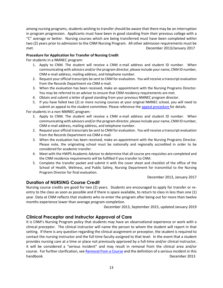among nursing programs, students wishing to transfer should be aware that there may be an interruption in program progression. Applicants must have been in good standing from their previous college with a "C" average or better. Nursing courses which are being transferred must have been completed within two (2) years prior to admission to the CNM Nursing Program. All other admission requirements must be met. December 2013/January 2017

#### **Procedure for Application for Transfer of Nursing Credit**

For students in a NMNEC program:

- 1. Apply to CNM. The student will receive a CNM e-mail address and student ID number. When communicating with advisors and/or the program director, please include your name, CNM ID number, CNM e-mail address, mailing address, and telephone number.
- 2. Request your official transcripts be sent to CNM for evaluation. You will receive a transcript evaluation from the Records Department via CNM e-mail.
- 3. When the evaluation has been received, make an appointment with the Nursing Programs Director. You may be referred to an advisor to ensure that CNM residency requirements are met.
- 4. Obtain and submit a letter of good standing from your previous NMNEC program director.
- 5. If you have failed two (2) or more nursing courses at your original NMNEC school, you will need to submit an appeal to the student committee. Please reference the [appeal procedure f](#page-30-2)or details.

For students in a non-NMNEC program:

- 1. Apply to CNM. The student will receive a CNM e-mail address and student ID number. When communicating with advisors and/or the program director, please include your name, CNM ID number, CNM e-mail address, mailing address, and telephone number.
- 2. Request your official transcripts be sent to CNM for evaluation. You will receive a transcript evaluation from the Records Department via CNM e-mail.
- 3. When the evaluation has been received, make an appointment with the Nursing Programs Director. Please note, the originating school must be nationally and regionally accredited in order to be considered for academic transfer.
- 4. Meet with the HWPS Academic Advisor to determine that all course pre-requisites are completed and the CNM residence requirements will be fulfilled if you transfer to CNM.
- 5. Complete the transfer packet and submit it with the cover sheet and checklist of the office of the School of Health, Wellness, and Public Safety, Nursing Department for transmittal to the Nursing Program Director for final evaluation.

December 2013, January 2017

## <span id="page-12-0"></span>**Duration of NURSING Course Credit**

Nursing course credits are good for two (2) years. Students are encouraged to apply for transfer or reentry to the class as soon as possible and if there is space available, to return to class in less than one (1) year. Data at CNM reflects that students who re-enter the program after being out for more than twelve months experience lower than average program completion.

December 2013, September 2015, updated January 2019

## <span id="page-12-1"></span>**Clinical Preceptor and Instructor Approval of Care**

It is CNM's Nursing Program policy that students may have an observational experience or work with a clinical preceptor. The clinical instructor will name the person to whom the student will report in that setting. If there is any question regarding the clinical assignment or preceptor, the student is required to contact the nursing instructor and the full time faculty assigned to that level. In the event that a student provides nursing care at a time or place not previously approved by a full-time and/or clinical instructor, it will be considered a "serious incident" and may result in removal from the clinical area and/or course. For further clarification, see [Removal from a Course](#page-27-1) and the definition of a serious incident in this handbook. December 2013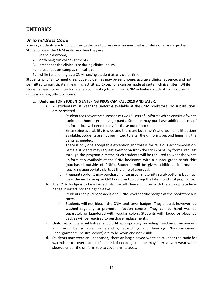## <span id="page-13-0"></span>**UNIFORMS**

## <span id="page-13-1"></span>**Uniform/Dress Code**

Nursing students are to follow the guidelines to dress in a manner that is professional and dignified. Students wear the CNM uniform when they are:

- 1. in the classroom,
- 2. obtaining clinical assignments,
- 3. present at the clinical site during clinical hours,
- 4. present at on-campus clinical labs,
- 5. while functioning as a CNM nursing student at any other time.

Students who fail to meet dress code guidelines may be sent home, accrue a clinical absence, and not permitted to participate in learning activities. Exceptions can be made at certain clinical sites. While students need to be in uniform when commuting to and from CNM activities, students will not be in uniform during off-duty hours.

#### 1. **Uniforms FOR STUDENTS ENTERING PROGRAM FALL 2019 AND LATER**:

- a. All students must wear the uniforms available at the CNM bookstore. No substitutions are permitted.
	- i. Student fees cover the purchase of two (2) sets of uniforms which consist of white tunics and hunter green cargo pants. Students may purchase additional sets of uniforms but will need to pay for those out of pocket.
	- ii. Since sizing availability is wide and there are both men's and women's fit options available. Students are not permitted to alter the uniforms beyond hemming the pants as needed.
	- iii. There is only one acceptable exception and that is for religious accommodation. Female students may request exemption from the scrub pants by formal request through the program director. Such students will be required to wear the white uniform top available at the CNM bookstore with a hunter green scrub skirt (purchased outside of CNM). Students will be given additional information regarding appropriate skirts at the time of approval.
	- iv. Pregnant students may purchase hunter green maternity scrub bottoms but must wear the next size up in CNM uniform top during the late months of pregnancy.
- b. The CNM badge is to be inserted into the left sleeve window with the appropriate level badge inserted into the right sleeve.
	- i. Students can purchase additional CNM level specific badges at the bookstore a la carte.
	- ii. Students will not bleach the CNM and Level badges. They should, however, be washed regularly to promote infection control. They can be hand washed separately or laundered with regular colors. Students with faded or bleached badges will be required to purchase replacements.
- c. Uniforms will be wrinkle-free, should fit appropriately providing freedom of movement and must be suitable for standing, stretching and bending. Non-transparent undergarments (neutral colors) are to be worn and not visible.
- d. Students may wear an unadorned, short or long sleeved white shirt under the tunic for warmth or to cover tattoos if needed. If needed, students may alternatively wear white sleeves under the uniform top to cover arm tattoos.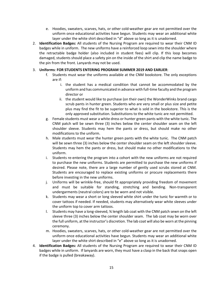- e. Hoodies, sweaters, scarves, hats, or other cold-weather gear are not permitted over the uniform once educational activities have begun. Students may wear an additional white layer under the white shirt described in "d" above so long as it is unadorned.
- 2. **Identification Badges:** All students of the Nursing Program are required to wear their CNM ID badges while in uniform. The new uniforms have a reinforced loop sewn into the shoulder where the retractable badge holder (also included in student fees) will clip. If this loop becomes damaged, students should place a safety pin on the inside of the shirt and clip the name badge to the pin from the front. Lanyards may not be used.

#### 3. **Uniforms**: **FOR STUDENTS ENTERING PROGRAM SUMMER 2019 AND EARLIER**:

- f. Students must wear the uniforms available at the CNM bookstore. The only exceptions are if:
	- i. the student has a medical condition that cannot be accommodated by the uniform and has communicated in advance with full-time faculty and the program director or
	- ii. the student would like to purchase (on their own) the WonderWinks brand cargo scrub pants in hunter green. Students who are very small or plus size and petite plus may find the fit to be superior to what is sold in the bookstore. This is the only approved substitution. Substitutions to the white tunic are not permitted.
- g. Female students must wear a white dress or hunter green pants with the white tunic. The CNM patch will be sewn three (3) inches below the center shoulder seam on the left shoulder sleeve. Students may hem the pants or dress, but should make no other modifications to the uniform.
- h. Male students must wear the hunter green pants with the white tunic. The CNM patch will be sewn three (3) inches below the center shoulder seam on the left shoulder sleeve. Students may hem the pants or dress, but should make no other modifications to the uniform.
- i. Students re-entering the program into a cohort with the new uniforms are not required to purchase the new uniforms. Students are permitted to purchase the new uniforms if desired. Please note, there are a large number of gently used scrubs stored at CNM. Students are encouraged to replace existing uniforms or procure replacements there before investing in the new uniforms.
- j. Uniforms will be wrinkle-free, should fit appropriately providing freedom of movement and must be suitable for standing, stretching and bending. Non-transparent undergarments (neutral colors) are to be worn and not visible.
- k. Students may wear a short or long sleeved white shirt under the tunic for warmth or to cover tattoos if needed. If needed, students may alternatively wear white sleeves under the uniform top to cover arm tattoos.
- l. Students may have a long-sleeved, ¾ length lab coat with the CNM patch sewn on the left sleeve three (3) inches below the center shoulder seam. The lab coat may be worn over the full uniform, at the instructor's discretion. The lab coat will also be worn at the pinning ceremony.
- m. Hoodies, sweaters, scarves, hats, or other cold-weather gear are not permitted over the uniform once educational activities have begun. Students may wear an additional white layer under the white shirt described in "e" above so long as it is unadorned.
- 4. **Identification Badges:** All students of the Nursing Program are required to wear their CNM ID badges while in uniform. If lanyards are worn, they must have a clasp in the back that snaps open if the badge is pulled (breakaway).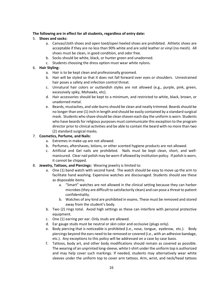#### **The following are in effect for all students, regardless of entry date:**

#### 5. **Shoes and socks:**

- a. Canvas/cloth shoes and open toed/open heeled shoes are prohibited. Athletic shoes are acceptable if they are no less than 90% white and are solid leather or vinyl (no mesh). All shoes must be clean, in good condition, and odor free.
- b. Socks should be white, black, or hunter green and unadorned.
- c. Students choosing the dress option must wear white nylons.

#### 6. **Hair Styling:**

- a. Hair is to be kept clean and professionally groomed.
- b. Hair will be styled so that it does not fall forward over eyes or shoulders. Unrestrained hair poses a safety and infection control threat.
- c. Unnatural hair colors or outlandish styles are not allowed (e.g., purple, pink, green, excessively spiky, Mohawks, etc).
- d. Hair accessories should be kept to a minimum, and restricted to white, black, brown, or unadorned metal.
- e. Beards, mustaches, and side-burns should be clean and neatly trimmed. Beards should be no longer than one (1) inch in length and should be easily contained by a standard surgical mask. Students who shave should be clean shaven each day the uniform is worn. Students who have beards for religious purposes must communicate this exception to the program director prior to clinical activities and be able to contain the beard with no more than two (2) standard surgical masks.

#### 7. **Cosmetics, Perfume, and Nails:**

- a. Extremes in make-up are not allowed.
- b. Perfumes, aftershaves, lotions, or other scented hygiene products are not allowed.
- c. Artificial and Gel nails are prohibited. Nails must be kept clean, short, and wellmanicured. Clear nail polish may be worn if allowed by institution policy. If polish is worn, it cannot be chipped.
- 8. **Jewelry, Tattoos, and Piercings:** Wearing jewelry is limited to:
	- a. One (1) band watch with second hand. The watch should be easy to move up the arm to facilitate hand washing. Expensive watches are discouraged. Students should see these as disposable items.
		- a. "Smart" watches are not allowed in the clinical setting because they can harbor microbes (they are difficult to satisfactorily clean) and can pose a threat to patient confidentiality.
		- b. Watches of any kind are prohibited in exams. These must be removed and stored away from the student's body.
	- b. Two (2) rings total. Avoid high settings as these can interfere with personal protective equipment.
	- c. One (1) earring per ear. Only studs are allowed.
	- d. Ear gauge studs must be neutral or skin color and occlusive (plugs only).
	- e. Body piercing that is noticeable is prohibited (i.e., nose, tongue, eyebrow, etc.). Body piercings beyond the ears need to be removed or covered (i.e., with an adhesive bandage, etc.). Any exceptions to this policy will be addressed on a case by case basis.
	- f. Tattoos, body art, and other body modifications should remain as covered as possible. The wearing of an unprinted long-sleeve, white t-shirt under the uniform top is authorized and may help cover such markings. If needed, students may alternatively wear white sleeves under the uniform top to cover arm tattoos. Arm, wrist, and neck/head tattoos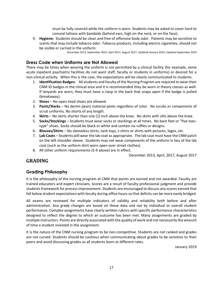must be fully covered while the uniform is worn. Students may be asked to cover hard to conceal tattoos with bandaids (behind ears, high on the neck, or on the face).

9. **Hygiene:** Students should be clean and free of offensive body odor. Patients may be sensitive to scents that may include tobacco odor. Tobacco products, including electric cigarettes, should not be visible or carried in the uniform.

December 2013, September 2015, April 2017, August 2017, Updated January 2019, Updated September 2019

## <span id="page-16-0"></span>**Dress Code when Uniforms are Not Allowed**

There may be times when wearing the uniform is not permitted by a clinical facility (for example, some acute inpatient psychiatric facilities do not want staff, faculty or students in uniforms) or desired for a non-clinical activity. When this is the case, the expectations will be clearly communicated to students.

- 1. **Identification Badges:** All students and faculty of the Nursing Program are required to wear their CNM ID badges in the clinical area and it is recommended they be worn in theory classes as well. If lanyards are worn, they must have a clasp in the back that snaps open if the badge is pulled (breakaway).
- 2. **Shoes** No open-toed shoes are allowed.
- 3. **Pants/Slacks** No denim (jean) material pants regardless of color. No scrubs or components of scrub uniforms. No shorts of any length.
- 4. **Skirts**  No skirts shorter than one (1) inch above the knee. No skirts with slits above the knee.
- 5. **Socks/Stockings** Students must wear socks or stockings at all times. No bare feet or "five toestype" shoes. Socks should be black or white and contain no ruffles or designs.
- 6. **Blouses/Shirts** No sleeveless shirts, tank tops, t-shirts or shirts with pictures, logos, etc.
- 7. **Lab Coats** Students will wear the lab coat as appropriate. The lab coat must have the CNM patch on the left shoulder sleeve. Students may not wear components of the uniform in lieu of the lab coat (such as the uniform shirt worn open over street clothes).
- 8. All other uniform requirements (5-9 above) are in effect.

December 2013, April, 2017, August 2017

## <span id="page-16-1"></span>**GRADING**

## <span id="page-16-2"></span>**Grading Philosophy**

It is the philosophy of the nursing program at CNM that points are earned and not awarded. Faculty are trained educators and expert clinicians. Scores are a result of faculty professional judgment and provide students framework for process improvement. Students are encouraged to discuss any scores earned that fall below student expectations with faculty during office hours so that deficits can be more easily bridged.

All exams are reviewed for multiple indicators of validity and reliability both before and after administration. Any grade changes are based on these data and not by individual or overall student performance. Complex assignments have clearly written rubrics with specific performance characteristics designed to reflect the degree to which an outcome has been met. Many assignments are graded by multiple instructors. Points are directly associated with the quality of work and not necessarily the amount of time a student invested in the assignment.

It is the nature of the CNM nursing program to be non-competitive. Students are not ranked and grades are not curved. Students should be cautious when communicating about grades to be sensitive to their peers and avoid discussing grades as all students learn at different rates.

January 2019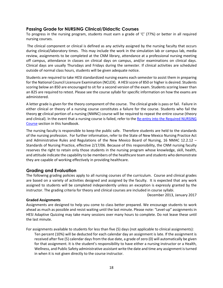## <span id="page-17-0"></span>**Passing Grade for NURSING Clinical/Didactic Courses**

To progress in the nursing program, students must earn a grade of 'C' (77%) or better in all required nursing courses.

The clinical component or clinical is defined as any activity assigned by the nursing faculty that occurs during clinical/laboratory times. This may include the work in the simulation lab or campus lab, media review, assignments to be completed at the CNM library, attendance at a professional nursing meeting off campus, attendance in classes on clinical days on campus, and/or examinations on clinical days. Clinical days are usually Thursdays and Fridays during the semester. If clinical activities are scheduled outside of normal class hours, students will be given adequate notice.

Students are required to take HESI standardized nursing exams each semester to assist them in preparing for the National Council Licensure Examination (NCLEX). A HESI score of 850 or higher is desired. Students scoring below an 850 are encouraged to sit for a second version of the exam. Students scoring lower than an 825 are required to retest. Please see the course syllabi for specific information on how the exams are administered.

A letter grade is given for the theory component of the course. The clinical grade is pass or fail. Failure in either clinical or theory of a nursing course constitutes a failure for the course. Students who fail the theory **or** clinical portion of a nursing (NMNC) course will be required to repeat the entire course (theory and clinical). In the event that a nursing course is failed, refer to the [Re-entry into the Required NURSING](#page-30-1) [Course](#page-30-1) section in this handbook.

The nursing faculty is responsible to keep the public safe. Therefore students are held to the standards of the nursing profession. For further information, refer to the State of New Mexico Nursing Practice Act and Administrative Rules and Regulations of the New Mexico Board of Nursing, 16 NMAC 12.2.12 – Standards of Nursing Practice, effective 2/17/06. Because of this responsibility, the CNM nursing faculty reserves the right to retain only those students in the nursing program whose knowledge, skill, health, and attitude indicate the capability to be members of the healthcare team and students who demonstrate they are capable of working effectively in providing healthcare.

## <span id="page-17-1"></span>**Grading and Evaluation**

The following grading policies apply to all nursing courses of the curriculum. Course and clinical grades are based on a variety of activities designed and assigned by the faculty. It is expected that any work assigned to students will be completed independently unless an exception is expressly granted by the instructor. The grading criteria for theory and clinical courses are included in course syllabi.

December 2013, January 2017

#### **Graded Assignments**

Assignments are designed to help you come to class better prepared. We encourage students to work ahead as much as possible and resist waiting until the last minute. Please note: "Level-up" assignments in HESI Adaptive Quizzing may take many sessions over many hours to complete. Do not leave these until the last minute.

For assignments available to students for less than five (5) days (not applicable to clinical assignments):

Ten percent (10%) will be deducted for each calendar day an assignment is late. If the assignment is received after five (5) calendar days from the due date, a grade of zero (0) will automatically be given for that assignment. It is the student's responsibility to have either a nursing instructor or a Health, Wellness, and Public Safety administrative assistant write the date and time any assignment is turned in when it is not given directly to the course instructor.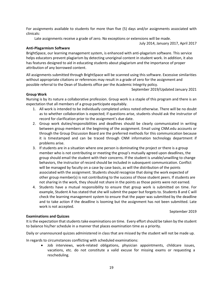For assignments available to students for more than five (5) days and/or assignments associated with clinicals:

Late assignments receive a grade of zero. No exceptions or extensions will be made.

July 2014, January 2017, April 2017

#### **Anti-Plagarmism Software**

BrightSpace, our learning management system, is enhanced with anti-plagarism software. This service helps educators prevent plagiarism by detecting unoriginal content in student work. In addition, it also has features designed to aid in educating students about plagiarism and the importance of proper attribution of any borrowed content.

All assignments submitted through BrightSpace will be scanned using this software. Excessive similarities without appropriate citations or references may result in a grade of zero for the assignment and possible referral to the Dean of Students office per the Academic Integrity policy.

September 2019/Updated January 2021

#### **Group Work**

Nursing is by its nature a collaborative profession. Group work is a staple of this program and there is an expectation that all members of a group participate equitably.

- 1. All work is intended to be individually completed unless noted otherwise. There will be no doubt as to whether collaboration is expected; if questions arise, students should ask the instructor of record for clarification prior to the assignment's due date.
- 2. Group work duties/responsibilities and deadlines should be clearly communicated in writing between group members at the beginning of the assignment. Email using CNM.edu accounts or through the Group Discussion Board are the preferred methods for this communication because it is timestamped and can be traced through CNM information technology department if problems arise.
- 3. If students are in a situation where one person is dominating the project or there is a group member who is not contributing or meeting the group's mutually agreed upon deadlines, the group should email the student with their concerns. If the student is unable/unwilling to change behaviors, the instructor of record should be included in subsequent communication. Conflict will be managed by faculty on a case by case basis, as will the distribution of the points associated with the assignment. Students should recognize that doing the work expected of other group member(s) is not contributing to the success of those student peers. If students are not sharing in the work, they should not share in the points as those points were not earned.
- 4. Students have a mutual responsibility to ensure that group work is submitted on time. For example, Student A has stated that she will submit the paper but forgets to. Students B and C will check the learning management system to ensure that the paper was submitted by the deadline and to take action if the deadline is looming but the assignment has not been submitted. Late work is not accepted.

September 2019

#### **Examinations and Quizzes**

It is the expectation that students take examinations on time. Every effort should be taken by the student to balance his/her schedule in a manner that places examination time as a priority.

Daily or unannounced quizzes administered in class that are missed by the student will not be made up.

In regards to circumstances conflicting with scheduled examinations:

• Job interviews, work-related obligations, physician appointments, childcare issues, vacations, etc. do not constitute a valid excuse for missing exams or requesting a rescheduling.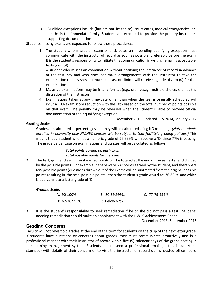• Qualified exceptions include (but are not limited to): court dates, medical emergencies, or deaths in the immediate family. Students are expected to provide the primary instructor supporting documentation.

Students missing exams are expected to follow these procedures:

- 1. The student who misses an exam or anticipates an impending qualifying exception must communicate with the instructor of record as soon as possible, preferably before the exam. It is the student's responsibility to initiate this communication in writing (email is acceptable, texting is not).
- 2. A student who misses an examination without notifying the instructor of record in advance of the test day and who does not make arrangements with the instructor to take the examination the day she/he returns to class or clinical will receive a grade of zero (0) for that examination.
- 3. Make-up examinations may be in any format (e.g., oral, essay, multiple choice, etc.) at the discretion of the instructor.
- 4. Examinations taken at any time/date other than when the test is originally scheduled will incur a 10% exam score reduction with the 10% based on the total number of points possible on that exam. The penalty may be reversed when the student is able to provide official documentation of their qualifying exception.

December 2013, updated July 2014, January 2017

#### **Grading Scales –**

1. Grades are calculated as percentages and they will be calculated using NO rounding. *(Note, students enrolled in university-only NMNEC courses will be subject to that facility's grading policies.)* This means that a student who has a numeric grade of 76.999% will receive a 'D' since 77% is passing. The grade percentage on examinations and quizzes will be calculated as follows:

#### *Total points earned on each exam Total possible points for the exam*

2. The test, quiz, and assignment earned points will be totaled at the end of the semester and divided by the possible points. For example, if there were 537 points earned by the student, and there were 699 possible points (questions thrown out of the exams will be subtracted from the original possible points resulting in the total possible points), then the student's grade would be 76.824% and which is equivalent to a letter grade of 'D.'

#### *Grading Scale*:

| A: $90-100\%$    | $B: 80-89.999\%$ | $C: 77-79.999\%$ |
|------------------|------------------|------------------|
| $D: 67-76.999\%$ | F: Below 67%     |                  |

3. It is the student's responsibility to seek remediation if he or she did not pass a test. Students needing remediation should make an appointment with the HWPS Achievement Coach.

December 2013, September 2015

## <span id="page-19-0"></span>**Grading Concerns**

Faculty will not revisit old grades at the end of the term for students on the cusp of the next letter grade. If students have questions or concerns about grades, they must communicate proactively and in a professional manner with their instructor of record within five (5) calendar days of the grade posting in the learning management system. Students should send a professional email (as this is date/time stamped) with details of their concern or to visit the instructor of record during posted office hours.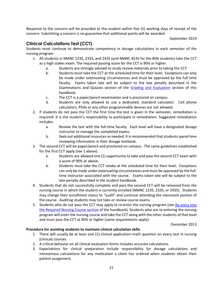Response to the concern will be provided to the student within five (5) working days of receipt of the concern. Submitting a concern is no guarantee that additional points will be awarded.

September 2019

## <span id="page-20-0"></span>**Clinical Calculations Test (CCT)**

Students must continue to demonstrate competency in dosage calculations in each semester of the nursing program.

- 1. All students in NMNC 1235, 2335, and 2435 (and NMNC 4535 for the BSN students) take the CCT as a high stakes exam. The required passing score for the CCT is 90% or higher.
	- a. Students are strongly advised to study review materials prior to taking the CCT.
	- b. Students must take the CCT at the scheduled time for their level. Exceptions can only be made under extenuating circumstances and must be approved by the full time faculty. Exams taken late will be subject to the late penalty described in the Examinations and Quizzes section of the [Grading and Evaluation](#page-17-1) section of this handbook.
	- c. The CCT is a paper/pencil examination and is proctored on campus.
	- d. Students are only allowed to use a dedicated, standard calculator. Cell phone calculators, PDAs or any other programmable devices are not allowed.
- 2. If students do not pass the CCT the first time the test is given in the semester, remediation is required. It is the student's responsibility to participate in remediation. Suggested remediation includes:
	- a. Review the test with the full-time faculty. Each level will have a designated dosage instructor to manage the completed exams.
	- b. Seek out additional resources as needed. It is recommended that students spend time reviewing information in their dosage textbook.
- 3. The second CCT will be paper/pencil and proctored on campus. The same guidelines established for the first CCT apply (see 1 above).
	- a. Students are allowed one (1) opportunity to take and pass the second CCT exam with a score of 90% or above.
	- b. Students must take the CCT retake at the scheduled time for their level. Exceptions can only be made under extenuating circumstances and must be approved by the fulltime instructor associated with the course. Exams taken late will be subject to the late penalty described in the student handbook.
- 4. Students that do not successfully complete and pass the second CCT will be removed from the nursing course in which the student is currently enrolled (NMNC 1235, 2335, or 2435). Students may change their enrollment status to "audit" and continue attending the classroom portion of the course. Auditing students may not take or review course exams.
- 5. Students who do not pass the CCT may apply to re-enter the nursing program (see Re-entry into [the Required Nursing](#page-30-1) Course section of the handbook). Students who are re-entering the nursing program will enter the nursing course and take the CCT along with the other students of that level and must pass the CCT at 90% or higher (same requirements apply).

December 2013

#### **Procedure for assisting students to maintain clinical calculation skills**

- 1. There will usually be at least one (1) clinical application math question on every test in nursing (clinical) courses.
- 2. A critical behavior on all clinical evaluation forms includes accurate calculations.
- 3. Expectations for clinical preparation include responsibility for dosage calculations and intravenous calculations for any medication a client has ordered when students obtain their patient assignment.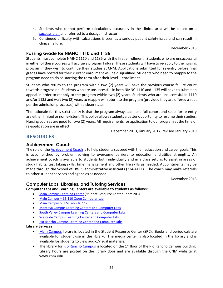- 4. Students who cannot perform calculations accurately in the clinical area will be placed on a [success plan](#page-28-0) and referred to a dosage instructor.
- 5. Continued difficulty with calculations is seen as a serious patient safety issue and can result in clinical failure.

December 2013

#### <span id="page-21-0"></span>**Passing Grade for NMNC 1110 and 1135**

Students must complete NMNC 1110 and 1135 with the first enrollment. Students who are unsuccessful in either of these courses will accrue a program failure. These students will have to re-apply to the nursing program if they wish to continue their studies at CNM. Applications submitted for re-entry before final grades have posted for their current enrollment will be disqualified. Students who need to reapply to the program need to do so starting the term after their level 1 enrollment.

Students who return to the program within two (2) years will have the previous course failure count towards progression. Students who are unsuccessful in both NMNC 1110 and 1135 will have to submit an appeal in order to reapply to the program within two (2) years. Students who are unsuccessful in 1110 and/or 1135 and wait two (2) years to reapply will return to the program (provided they are offered a seat per the admission processes) with a clean slate.

The rationale for this strict policy is that the program always admits a full cohort and seats for re-entry are either limited or non-existent. This policy allows students a better opportunity to resume their studies. Nursing courses are good for two (2) years. All requirements for application to our program at the time of re-application are in effect.

December 2013, January 2017, revised January 2019

## <span id="page-21-1"></span>**RESOURCES**

#### <span id="page-21-2"></span>**Achievement Coach**

The role of th[e Achievement Coach](http://www.cnm.edu/depts/achievement-coach) is to help students succeed with their education and career goals. This is accomplished by problem solving to overcome barriers to education and utilize strengths. An achievement coach is available to students both individually and in a class setting to assist in areas of study habits, test taking skills, time management and other life skills as needed. Appointments may be made through the School of HWPS administrative assistants (224-4111). The coach may make referrals to other student services and agencies as needed.

December 2013

## <span id="page-21-3"></span>**Computer Labs, Libraries, and Tutoring Services**

#### **Computer Labs and Learning Centers are available to students as follows:**

- [Main Campus Learning Center](http://www.cnm.edu/depts/tutoring/computer-labs) (Student Resource Center Room 203)
- Main Campus [SB 110 Open Computer Lab](https://www.cnm.edu/depts/tutoring/computer-labs)
- [Main Campus STEM Lab -](http://www.cnm.edu/depts/tutoring/computer-labs) TC 112
- [Montoya Campus Learning Centers and Computer Labs](http://www.cnm.edu/depts/tutoring/computer-labs)
- [South Valley Campus Learning Centers and Computer Labs](http://www.cnm.edu/depts/tutoring/computer-labs)
- [Westside Campus Learning Center and Computer Labs](http://www.cnm.edu/depts/tutoring/computer-labs)
- [Rio Rancho Campus Learning Center and Computer Labs](http://www.cnm.edu/depts/tutoring/computer-labs)

#### **Library Services**

- [Main Campus](http://www.cnm.edu/depts/libraries/) library is located in the Student Resource Center (SRC). Books and periodicals are available for student use in the library. The media center is also located in the library and is available for students to view audio/visual materials.
- The library for [Rio Rancho Campus](http://www.cnm.edu/depts/libraries/) is located on the  $1<sup>st</sup>$  floor of the Rio Rancho Campus building. Library hours are posted on the library door and are available through the CNM website at [www.cnm.edu.](http://www.cnm.edu/)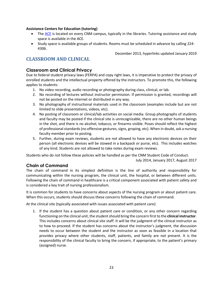#### **Assistance Centers for Education (tutoring)**

- The [ACE](http://www.cnm.edu/depts/tutoring) is located on every CNM campus, typically in the libraries. Tutoring assistance and study space is available in the ACE.
- Study space is available groups of students. Rooms must be scheduled in advance by calling 224- 4306.

December 2013, hyperlinks updated January 2019

## <span id="page-22-0"></span>**CLASSROOM AND CLINICAL**

## <span id="page-22-1"></span>**Classroom and Clinical Privacy**

Due to federal student privacy laws (FERPA) and copy right laws, it is imperative to protect the privacy of enrolled students and the intellectual property offered by the instructors. To promote this, the following applies to students:

- 1. No video recording, audio recording or photography during class, clinical, or lab.
- 2. No recording of lectures without instructor permission. If permission is granted, recordings will not be posted on the internet or distributed in any way.
- 3. No photography of instructional materials used in the classroom (examples include but are not limited to slide presentations, videos, etc).
- 4. No posting of classroom or clinical/lab activities on social media. Group photographs of students and faculty may be posted if the clinical site is unrecognizable, there are no other human beings in the shot, and there is no alcohol, tobacco, or firearms visible. Poses should reflect the highest of professional standards (no offensive gestures, signs, groping, etc). When in doubt, ask a nursing faculty member prior to posting.
- 5. Further, during exam reviews, students are not allowed to have any electronic devices on their person (all electronic devices will be stowed in a backpack or purse, etc). This includes watches of any kind. Students are not allowed to take notes during exam reviews.

Students who do not follow these policies will be handled as per the CNM Student Code of Conduct.

July 2014, January 2017, August 2017

## <span id="page-22-2"></span>**Chain of Command**

The chain of command in its simplest definition is the line of authority and responsibility for communicating within the nursing program, the clinical unit, the hospital, or between different units. Following the chain of command in healthcare is a critical component associated with patient safety and is considered a key trait of nursing professionalism.

It is common for students to have concerns about aspects of the nursing program or about patient care. When this occurs, students should discuss these concerns following the chain of command.

At the clinical site (typically associated with issues associated with patient care):

1. If the student has a question about patient care or condition, or any other concern regarding functioning on the clinical unit, the student should bring the concern first to the **clinical instructor**. This includes concerns about clinical site staff. It will be the judgment of the clinical instructor as to how to proceed. If the student has concerns about the instructor's judgment, the discussion needs to occur between the student and the instructor as soon as feasible in a location that provides privacy where other students, staff, patients, and family are not present. It is the responsibility of the clinical faculty to bring the concern, if appropriate, to the patient's primary (assigned) nurse.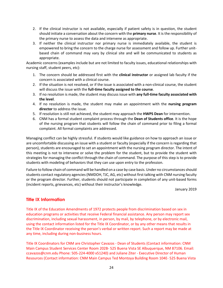- 2. If the clinical instructor is not available, especially if patient safety is in question, the student should initiate a conversation about the concern with the **primary nurse**. It is the responsibility of the primary nurse to assess the data and intervene as appropriate.
- 3. If neither the clinical instructor nor primary nurse is immediately available, the student is empowered to bring the concern to the charge nurse for assessment and follow up. Further unitbased chain of command may vary by clinical site and will be communicated to students as appropriate.

Academic concerns (examples include but are not limited to faculty issues, educational relationships with nursing staff, student peers, etc):

- 1. The concern should be addressed first with the **clinical instructor** or assigned lab faculty if the concern is associated with a clinical course.
- 2. If the situation is not resolved, or if the issue is associated with a non-clinical course, the student will discuss the issue with the **full-time faculty assigned to the course**.
- 3. If no resolution is made, the student may discuss issue with **any full-time faculty associated with the level**.
- 4. If no resolution is made, the student may make an appointment with the **nursing program director** to address the issue.
- 5. If resolution is still not achieved, the student may approach the **HWPS Dean** for intervention.
- 6. CNM has a formal student complaint process through the **Dean of Students office**. It is the hope of the nursing program that students will follow the chain of command prior to filing a formal complaint. All formal complaints are addressed.

Managing conflict can be highly stressful. If students would like guidance on how to approach an issue or are uncomfortable discussing an issue with a student or faculty (especially if the concern is regarding that person), students are encouraged to set an appointment with the nursing program director. The intent of this meeting is not to intervene or solve the problem for the student, but to provide the student with strategies for managing the conflict through the chain of command. The purpose of this step is to provide students with modeling of behaviors that they can use upon entry to the profession.

Failure to follow chain of command will be handled on a case by case basis. Under no circumstances should students contact regulatory agencies (NMDOH, TJC, AG, etc) without first talking with CNM nursing faculty or the program director. Further, students should not participate in completion of any unit-based forms (incident reports, grievances, etc) without their instructor's knowledge.

January 2019

## <span id="page-23-0"></span>**Title IX Information**

Title IX of the Education Amendments of 1972 protects people from discrimination based on sex in education programs or activities that receive Federal financial assistance. Any person may report sex discrimination, including sexual harassment, in person, by mail, by telephone, or by electronic mail, using the contact information listed for the Title IX Coordinator, or by any other means that results in the Title IX Coordinator receiving the person's verbal or written report. Such a report may be made at any time, including during non-business hours.

Title IX Coordinators for CNM are Christopher Cavazos - Dean of Students (Contact information: CNM Main Campus Student Services Center Room 202B- 525 Buena Vista SE Albuquerque, NM 87106. Email: ccavazos@cnm.edu Phone: 505-224-4000 x51240) and Juliane Ziter - Executive Director of Human Resources (Contact information: CNM Main Campus Ted Montoya Building Room 104E- 525 Buena Vista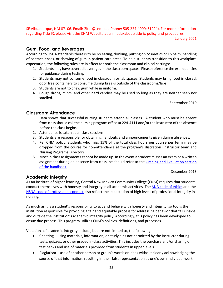SE Albuquerque, NM 87106. Email:JZiter@cnm.edu Phone: 505-224-4000x51294). For more information regarding Title IX, please visit the CNM Website at cnm.edu/about/title-ix-policy-and-procedures.

January 2021

#### <span id="page-24-0"></span>**Gum, Food, and Beverages**

According to OSHA standards there is to be no eating, drinking, putting on cosmetics or lip balm, handling of contact lenses, or chewing of gum in patient care areas. To help students transition to this workplace expectation, the following rules are in effect for both the classroom and clinical settings:

- 1. Students may have covered beverages in the classroom spaces. Please reference the exam policies for guidance during testing.
- 2. Students may not consume food in classroom or lab spaces. Students may bring food in closed, odor free containers to consume during breaks outside of the classrooms/labs.
- 3. Students are not to chew gum while in uniform.
- 4. Cough drops, mints, and other hard candies may be used so long as they are neither seen nor smelled.

September 2019

## <span id="page-24-1"></span>**Classroom Attendance**

- 1. Data shows that successful nursing students attend all classes. A student who must be absent from class should call the nursing program office at 224-4111 and/or the instructor of the absence before the class begins.
- 2. Attendance is taken at all class sessions.
- 3. Students are responsible for obtaining handouts and announcements given during absences.
- 4. Per CNM policy, students who miss 15% of the total class hours per course per term may be dropped from the course for non-attendance at the program's discretion (instructor team and Nursing Programs Director).
- 5. Most in class assignments cannot be made up. In the event a student misses an exam or a written assignment during an absence from class, he should refer to the [Grading and Evaluation section](#page-17-1)  [of the handbook.](#page-17-1)

December 2013

## <span id="page-24-2"></span>**Academic Integrity**

As an institute of higher learning, Central New Mexico Community College (CNM) requires that students conduct themselves with honesty and integrity in all academic activities. Th[e ANA code of ethics](#page-8-0) and the [NSNA code of professional conduct](#page-9-1) also reflect the expectation of high levels of professional integrity in nursing.

As much as it is a student's responsibility to act and behave with honesty and integrity, so too is the institution responsible for providing a fair and equitable process for addressing behavior that falls inside and outside the institution's academic integrity policy. Accordingly, this policy has been developed to ensue due process. This program utilizes CNM's policies, definitions, and processes.

Violations of academic integrity include, but are not limited to, the following:

- Cheating using materials, information, or study aids not permitted by the instructor during tests, quizzes, or other graded in-class activities. This includes the purchase and/or sharing of test banks and use of materials provided from students in upper levels.
- Plagiarism use of another person or group's words or ideas without clearly acknowledging the source of that information, resulting in their false representation as one's own individual work.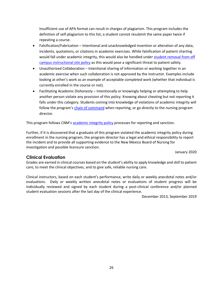Insufficient use of APA format can result in charges of plagiarism. This program includes the definition of self-plagiarism to this list; a student cannot resubmit the same paper twice if repeating a course.

- Falsification/Fabrication Intentional and unacknowledged invention or alteration of any data, incidents, quotations, or citations in academic exercises. While falsification of patient charting would fall under academic integrity, this would also be handled unde[r student removal from off](#page-27-1)  [campus instructional site policy](#page-27-1) as this would pose a significant threat to patient safety.
- Unauthorized Collaboration Intentional sharing of information or working together in an academic exercise when such collaboration is not approved by the instructor. Examples include looking at other's work as an example of acceptable completed work (whether that individual is currently enrolled in the course or not).
- Facilitating Academic Dishonesty Intentionally or knowingly helping or attempting to help another person violate any provision of this policy. Knowing about cheating but not reporting it falls under this category. Students coming into knowledge of violations of academic integrity will follow the program's [chain of command](#page-22-2) when reporting, or go directly to the nursing program director.

This program follows CNM's [academic integrity policy](https://www.cnm.edu/depts/dean-of-students/academic-integrity-policy) processes for reporting and sanction.

Further, if it is discovered that a graduate of this program violated the academic integrity policy during enrollment in the nursing program, the program director has a legal and ethical responsibility to report the incident and to provide all supporting evidence to the New Mexico Board of Nursing for investigation and possible licensure sanction.

January 2020

#### <span id="page-25-0"></span>**Clinical Evaluation**

Grades are earned in clinical courses based on the student's ability to apply knowledge and skill to patient care, to meet the clinical objectives, and to give safe, reliable nursing care.

Clinical instructors, based on each student's performance, write daily or weekly anecdotal notes and/or evaluations. Daily or weekly written anecdotal notes or evaluations of student progress will be individually reviewed and signed by each student during a post-clinical conference and/or planned student evaluation sessions after the last day of the clinical experience.

December 2013, September 2019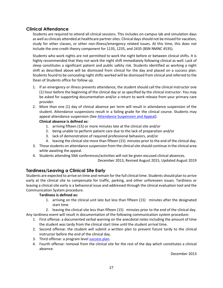## <span id="page-26-0"></span>**Clinical Attendance**

Students are required to attend all clinical sessions. This includes on-campus lab and simulation days as well as clinicals attended at healthcare partner sites. Clinical days should not be missed for vacation, study for other classes, or other non-illness/emergency related issues. At this time, this does not include the one-credit theory component for 1135, 1235, and 2435 (BSN NMNC 4535).

Students who work nights are not permitted to work the night before or between clinical shifts. It is highly recommended that they not work the night shift immediately following clinical as well. Lack of sleep constitutes a significant patient and public safety risk. Students identified as working a night shift as described above will be dismissed from clinical for the day and placed on a success plan. Students found to be concealing night shifts worked will be dismissed from clinical and referred to the Dean of Students office for follow up.

- 1. If an emergency or illness prevents attendance, the student should call the clinical instructor one (1) hour before the beginning of the clinical day or as specified by the clinical instructor. You may be asked for supporting documentation and/or a return to work release from your primary care provider.
- 2. More than one (1) day of clinical absence per term will result in attendance suspension of the student. Attendance suspensions result in a failing grade for the clinical course. Students may appeal attendance suspension (See [Attendance Suspension and Appeal\)](#page-27-0).

#### **Clinical absence is defined as:**

- 1. arriving fifteen (15) or more minutes late at the clinical site and/or
- 2. being unable to perform patient care due to the lack of preparation and/or
- 3. lack of demonstration of required professional behaviors, and/or
- 4. leaving the clinical site more than fifteen (15) minutes prior to the end of the clinical day.
- 3. Those students on attendance suspension from the clinical site should continue in the clinical area while awaiting the appeal.
- 4. Students attending SNA conferences/activities will not be given excused clinical absences.

December 2013, Revised August 2015, Updated August 2019

## <span id="page-26-1"></span>**Tardiness/Leaving a Clinical Site Early**

Students are expected to arrive on time and remain for the full clinical time. Students should plan to arrive early at the clinical site to compensate for traffic, parking, and other unforeseen issues. Tardiness or leaving a clinical site early is a behavioral issue and addressed through the clinical evaluation tool and the Communication System procedure.

#### **Tardiness is defined as:**

1. arriving on the clinical unit late but less than fifteen (15) minutes after the designated start time

2. leaving the clinical site less than fifteen (15) minutes prior to the end of the clinical day. Any tardiness event will result in documentation of the following communication system procedure:

- 1. First offense: a documented verbal warning on the anecdotal notes including the amount of time the student was tardy from the clinical start time until the student arrival time.
- 2. Second offense: the student will submit a written plan to prevent future tardy to the clinical instructor before the end of the clinical day.
- 3. Third offense: a program level [success plan.](#page-28-0)
- 4. Fourth offense: removal from the clinical site for the rest of the day which constitutes a clinical absence.

December 2013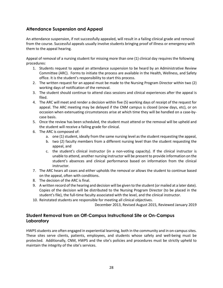## <span id="page-27-0"></span>**Attendance Suspension and Appeal**

An attendance suspension, if not successfully appealed, will result in a failing clinical grade and removal from the course. Successful appeals usually involve students bringing proof of illness or emergency with them to the appeal hearing.

Appeal of removal of a nursing student for missing more than one (1) clinical day requires the following procedures:

- 1. Students request to appeal an attendance suspension to be heard by an Administrative Review Committee (ARC). Forms to initiate the process are available in the Health, Wellness, and Safety office. It is the student's responsibility to start this process.
- 2. The written request for an appeal must be made to the Nursing Program Director within two (2) working days of notification of the removal.
- 3. The student should continue to attend class sessions and clinical experiences after the appeal is filed.
- 4. The ARC will meet and render a decision within five (5) working days of receipt of the request for appeal. The ARC meeting may be delayed if the CNM campus is closed (snow days, etc), or on occasion when extenuating circumstances arise at which time they will be handled on a case-bycase basis.
- 5. Once the review has been scheduled, the student must attend or the removal will be upheld and the student will receive a failing grade for clinical.
- 6. The ARC is composed of:
	- a. one (1) student, ideally from the same nursing level as the student requesting the appeal,
	- b. two (2) faculty members from a different nursing level than the student requesting the appeal, and
	- c. the student's clinical instructor (in a non-voting capacity). If the clinical instructor is unable to attend, another nursing instructor will be present to provide information on the student's absences and clinical performance based on information from the clinical instructor.
- 7. The ARC hears all cases and either upholds the removal or allows the student to continue based on the appeal, often with conditions.
- 8. The decision of the ARC is final.
- 9. A written record of the hearing and decision will be given to the student (or mailed at a later date). Copies of the decision will be distributed to the Nursing Program Director (to be placed in the student's file), the full-time faculty associated with the level, and the clinical instructor.
- 10. Reinstated students are responsible for meeting all clinical objectives.

December 2013, Revised August 2015, Reviewed January 2019

## <span id="page-27-1"></span>**Student Removal from an Off-Campus Instructional Site or On-Campus Laboratory**

HWPS students are often engaged in experiential learning, both in the community and in on-campus sites. These sites serve clients, patients, employees, and students whose safety and well-being must be protected. Additionally, CNM, HWPS and the site's policies and procedures must be strictly upheld to maintain the integrity of the site's services.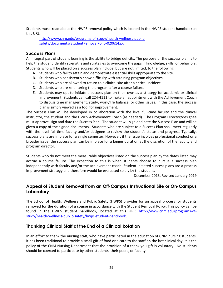Students must read about the HWPS removal policy which is located in the HWPS student handbook at this URL:

[http://www.cnm.edu/programs-of-study/health-wellness-public](http://www.cnm.edu/programs-of-study/health-wellness-public-safety/documents/StudentRemovalPolicy020614.pdf)[safety/documents/StudentRemovalPolicy020614.pdf](http://www.cnm.edu/programs-of-study/health-wellness-public-safety/documents/StudentRemovalPolicy020614.pdf)

#### <span id="page-28-0"></span>**Success Plans**

An integral part of student learning is the ability to bridge deficits. The purpose of the success plan is to help the student identify strengths and strategies to overcome the gaps in knowledge, skills, or behaviors. Students who will be placed on a success plan include, but are not limited, to the following:

- A. Students who fail to attain and demonstrate essential skills appropriate to the site.
- B. Students who consistently show difficulty with attaining program objectives.
- C. Students who are allowed to return to a clinical site after a critical incident.
- D. Students who are re-entering the program after a course failure.
- E. Students may opt to initiate a success plan on their own as a strategy for academic or clinical improvement. Students can call 224-4111 to make an appointment with the Achievement Coach to discuss time management, study, work/life balance, or other issues. In this case, the success plan is simply viewed as a tool for improvement.

The Success Plan will be developed in collaboration with the level full-time faculty and the clinical instructor, the student and the HWPS Achievement Coach (as needed). The Program Director/designee must approve, sign and date the Success Plan. The student will sign and date the Success Plan and will be given a copy of the signed documents. Students who are subject to a Success Plan shall meet regularly with the level full-time faculty and/or designee to review the student's status and progress. Typically, success plans are in place for a single semester. However, if the issue involves professional conduct or a broader issue, the success plan can be in place for a longer duration at the discretion of the faculty and program director.

Students who do not meet the measurable objectives listed on the success plan by the dates listed may accrue a course failure. The exception to this is when students choose to pursue a success plan independently with faculty and/or the achievement coach. Student initiated success plans are a process improvement strategy and therefore would be evaluated solely by the student.

December 2013, Revised January 2019

## <span id="page-28-1"></span>**Appeal of Student Removal from an Off-Campus Instructional Site or On-Campus Laboratory**

The School of Health, Wellness and Public Safety (HWPS) provides for an appeal process for students removed **for the duration of a course** in accordance with the Student Removal Policy. This policy can be found in the HWPS student handbook, located at this URL: [http://www.cnm.edu/programs-of](http://www.cnm.edu/programs-of-study/health-wellness-public-safety/hwps-student-handbook)[study/health-wellness-public-safety/hwps-student-handbook.](http://www.cnm.edu/programs-of-study/health-wellness-public-safety/hwps-student-handbook)

## <span id="page-28-2"></span>**Thanking Clinical Staff at the End of a Clinical Rotation**

In an effort to thank the nursing staff, who have participated in the education of CNM nursing students, it has been traditional to provide a small gift of food or a card to the staff on the last clinical day. It is the policy of the CNM Nursing Department that the provision of a thank you gift is voluntary. No students should be coerced to participate by other students, their peers, or faculty.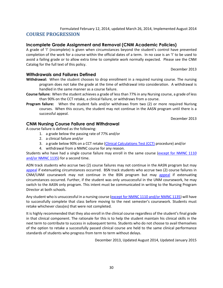Formulated February 12, 2014, updated March 26, 2014, Implemented August 2014

## <span id="page-29-0"></span>**COURSE PROGRESSION**

## <span id="page-29-1"></span>**Incomplete Grade Assignment and Removal (CNM Academic Policies)**

A grade of 'I' (incomplete) is given when circumstances beyond the student's control have prevented completion of the work for a course within the official dates of a term. In no case is an 'I' to be used to avoid a failing grade or to allow extra time to complete work normally expected. Please see the CNM Catalog for the full text of this policy.

December 2013

#### <span id="page-29-2"></span>**Withdrawals and Failures Defined**

- **Withdrawal:** When the student chooses to drop enrollment in a required nursing course. The nursing program does not take the grade at the time of withdrawal into consideration. A withdrawal is handled in the same manner as a course failure.
- **Course failure:** When the student achieves a grade of less than 77% in any Nursing course, a grade of less than 90% on the CCT retake, a clinical failure, or withdraws from a course.
- **Program failure:** When the student fails and/or withdraws from two (2) or more required Nurisng courses. When this occurs, the student may not continue in the AASN program until there is a successful appeal.

December 2013

#### <span id="page-29-3"></span>**CNM Nursing Course Failure and Withdrawal**

A course failure is defined as the following:

- 1. a grade below the passing rate of 77% and/or
- 2. a clinical failure and/or
- 3. a grade below 90% on a CCT retake [\(Clinical Calculations Test \(CCT\)](#page-20-0) procedure) and/or
- 4. withdrawal from a NMNC course for any reason.

Students who have had a single course failure may enroll in the same course (except for NMNC 1110 [and/or NMNC 1135\)](#page-21-0) for a second time.

ADN track students who accrue two (2) course failures may not continue in the AASN program but may [appeal](#page-30-2) if extenuating circumstances occurred.BSN track students who accrue two (2) course failures in CNM/UNM coursework may not continue in the BSN program but may [appeal](#page-30-2) if extenuating circumstances occurred. Further, if the student was only unsuccessful in the UNM coursework, he may switch to the AASN only program. This intent must be communicated in writing to the Nursing Program Director at both schools.

Any student who is unsuccessful in a nursing course [\(except for NMNC 1110 and/or NMNC 1135\)](#page-21-0) will have to successfully complete that class before moving to the next semester's coursework. Students must retake whichever class(es) that were not completed.

It is highly recommended that they also enroll in the clinical course regardless of the student's final grade in that clinical component. The rationale for this is to help the student maintain his clinical skills in the next term to contribute to success in subsequent terms. Students who do not choose to avail themselves of the option to retake a successfully passed clinical course are held to the same clinical performance standards of students who progress from term to term without delays.

December 2013, Updated August 2014, Updated January 2015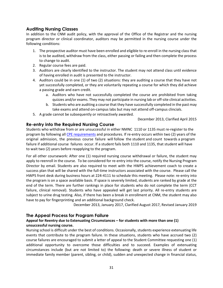## <span id="page-30-0"></span>**Auditing Nursing Classes**

In addition to the CNM audit policy, with the approval of the Office of the Registrar and the nursing program director or clinical coordinator, auditors may be permitted in the nursing course under the following conditions:

- 1. The prospective auditor must have been enrolled and eligible to re-enroll in the nursing class that is to be audited, withdraw from the class, either passing or failing and then complete the process to change to audit.
- 2. Regular course fees are paid.
- 3. Auditors are clearly identified to the instructor. The student may not attend class until evidence of having enrolled in audit is presented to the instructor.
- 4. Auditors could be in one (1) of two (2) situations: they are auditing a course that they have not yet successfully completed, or they are voluntarily repeating a course for which they did achieve a passing grade and earn credit.
	- a. Auditors who have not successfully completed the course are prohibited from taking quizzes and/or exams. They may not participate in nursing lab or off-site clinical activities.
	- b. Students who are auditing a course that they have successfully completed in the past may take exams and attend on-campus labs but may not attend off-campus clincials.
- 5. A grade cannot be subsequently or retroactively awarded.

December 2013, Clarified April 2015

## <span id="page-30-1"></span>**Re-entry into the Required Nursing Course**

Students who withdraw from or are unsuccessful in either NMNC 1110 or 1135 must re-register to the program by following all [CPE requirements](https://www.cnm.edu/programs-of-study/coordinated-program-entry/cpe-programs/nursing-aas-nmnec-concentration) and procedures. If re-entry occurs within two (2) years of the original admission, the previous course failure will follow the student and count towards a program failure if additional course failures occur. If a student fails both 1110 and 1135, that student will have to wait two (2) years before reapplying to the program.

For all other coursework: After one (1) required nursing course withdrawal or failure, the student may apply to reenroll in the course. To be considered for re-entry into the course, notify the Nursing Program Director by email. Students are also required to meet with the HWPS achievement coach to create a success plan that will be shared with the full-time instructors associated with the course. Please call the HWPS front desk during business hours at 224-4111 to schedule this meeting. Please note: re-entry into the program is on a space available basis. If space is severely limited, students are ranked by grade at the end of the term. There are further rankings in place for students who do not complete the term (CCT failure, clinical removal). Students who have appealed will get last priority. All re-entry students are subject to urine drug testing. Also, if there has been a break in enrollment at CNM, the student may also have to pay for fingerprinting and an additional background check.

December 2013, January 2017, Clarified August 2017, Revised January 2019

## <span id="page-30-2"></span>**The Appeal Process for Program Failure**

#### **Appeal for Reentry due to Extenuating Circumstances – for students with more than one (1) unsuccessful nursing course.**

Nursing school is difficult under the best of conditions. Occasionally, students experience extenuating life events that contribute to the program failure. In these situations, students who have accrued two (2) course failures are encouraged to submit a letter of appeal to the Student Committee requesting one (1) additional opportunity to overcome those difficulties and to succeed. Examples of extenuating circumstances include (but are not limited to) the following: death or severe illness of student or immediate family member (parent, sibling, or child), sudden and unexpected change in financial status,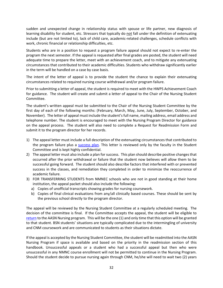sudden and unexpected change in relationship status with spouse or life partner, new diagnosis of learning disability for student, etc. Stressors that typically do not fall under the definition of extenuating include (but are not limited to), lack of child care, academic-related challenges, schedule conflicts with work, chronic financial or relationship difficulties, etc.

Students who are in a position to request a program failure appeal should not expect to re-enter the program the next semester. If the appeal is requested after final grades are posted, the student will need adequate time to prepare the letter, meet with an achievement coach, and to mitigate any extenuating circumstances that contributed to their academic difficulties. Students who withdraw significantly earlier in the term will be handled on a case by case basis.

The intent of the letter of appeal is to provide the student the chance to explain their extenuating circumstances related to required nursing course withdrawal and/or program failure.

Prior to submitting a letter of appeal, the student is required to meet with the HWPS Achievement Coach for guidance. The student will create and submit a letter of appeal to the Chair of the Nursing Student Committee.

The student's written appeal must be submitted to the Chair of the Nursing Student Committee by the first day of each of the following months: (February, March, May, June, July, September, October, and November). The letter of appeal must include the student's full name, mailing address, email address and telephone number. The student is encouraged to meet with the Nursing Program Director for guidance on the appeal process. The student will also need to complete a Request for Readmission Form and submit it to the program director for her records.

- 1) The appeal letter must include a full description of the extenuating circumstances that contributed to the program failure plus a [success plan.](#page-28-0) This letter is reviewed only by the faculty in the Student Committee and is kept highly confidential.
- 2) The appeal letter must also include a plan for success. This plan should describe positive changes that occurred after the prior withdrawal or failure that the student now believes will allow them to be successful going forward. The student should also describe factors that interfered with or prevented success in the classes, and remediation they completed in order to minimize the reoccurrence of academic failure.
- 3) FOR TRANSFERRING STUDENTS from NMNEC schools who are not in good standing at their home institution, the appeal packet should also include the following:
	- a) Copies of unofficial transcripts showing grades for nursing coursework.
	- b) Copies of final clinical evaluations from any/all clinically based courses. These should be sent by the previous school directly to the program director.

The appeal will be reviewed by the Nursing Student Committee at a regularly scheduled meeting. The decision of the committee is final. If the Committee accepts the appeal, the student will be eligible to [return](#page-30-1) to the AASN Nursing program. This will be the one (1) and only time that this option will be granted to that student. BSN students' situations are typically complicated due to the intermingling of university and CNM coursework and are communicated to students as their situations dictate.

If the appeal is accepted by the Nursing Student Committee, the student will be readmitted into the AASN Nursing Program if space is available and based on the priority in the readmission section of this handbook. Unsuccessful appeals or a student who had a successful appeal but then who were unsuccessful in any NMNC course enrollment will not be permitted to continue in the Nursing Program. Should the student decide to pursue nursing again through CNM, he/she will need to wait two (2) years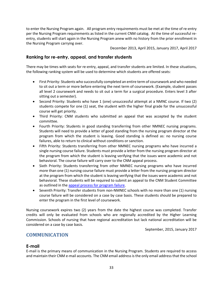to enter the Nursing Program again. All program entry requirements must be met at the time of re-entry per the Nursing Program requirements as listed in the current CNM catalog. At the time of successful reentry, students will start again in the Nursing Program anew with no history from the prior enrollment in the Nursing Program carrying over.

December 2013, April 2015, January 2017, April 2017

## <span id="page-32-0"></span>**Ranking for re-entry, appeal, and transfer students**

There may be times with seats for re-entry, appeal, and transfer students are limited. In these situations, the following ranking system will be used to determine which students are offered seats:

- First Priority: Students who successfully completed an entire term of coursework and who needed to sit out a term or more before entering the next term of coursework. (Example, student passes all level 2 coursework and needs to sit out a term for a surgical procedure. Enters level 3 after sitting out a semester).
- Second Priority: Students who have 1 (one) unsuccessful attempt at a NMNC course. If two (2) students compete for one (1) seat, the student with the higher final grade for the unsuccessful course will get priority.
- Third Priority: CNM students who submitted an appeal that was accepted by the student committee.
- Fourth Priority: Students in good standing transferring from other NMNEC nursing programs. Students will need to provide a letter of good standing from the nursing program director at the program from which the student is leaving. Good standing is defined as: no nursing course failures, able to return to clinical without conditions or sanction.
- Fifth Priority: Students transferring from other NMNEC nursing programs who have incurred a single nursing course failure. Students must provide a letter from the nursing program director at the program from which the student is leaving verifying that the issues were academic and not behavioral. The course failure will carry over to the CNM appeal process.
- Sixth Priority: Students transferring from other NMNEC nursing programs who have incurred more than one (1) nursing course failure must provide a letter from the nursing program director at the program from which the student is leaving verifying that the issues were academic and not behavioral. These students will be required to submit an appeal to the CNM Student Committee as outlined in the [appeal process for program failure.](#page-30-2)
- Seventh Priority: Transfer students from non-NMNEC schools with no more than one (1) nursing course failure will be considered on a case by case basis. These students should be prepared to enter the program in the first level of coursework.

Nursing coursework expires two (2) years from the date the highest course was completed. Transfer credits will only be evaluated from schools who are regionally accredited by the Higher Learning Commission. Schools of nursing that have regional accreditation but lack national accreditation will be considered on a case by case basis.

September, 2015, January 2017

## <span id="page-32-1"></span>**COMMUNICATION**

#### <span id="page-32-2"></span>**E-mail**

E-mail is the primary means of communication in the Nursing Program. Students are required to access and maintain their CNM e-mail accounts. The CNM email address is the only email address that the school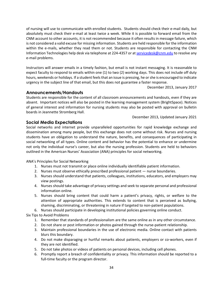of nursing will use to communicate with enrolled students. Students should check their e-mail daily, but absolutely must check their e-mail at least twice a week. While it is possible to forward email from the CNM account to other accounts, it is not recommended because it often results in message failure, which is not considered a valid excuse for missing information. Students are held responsible for the information within the e-mails, whether they read them or not. Students are responsible for contacting the CNM Information Technologies help desk via telephone at 224-4357 or at [servicedesk@cnm.edu](https://webmail.cnm.edu/OWA/redir.aspx?C=36e26e205a494bfd9950007daa214645&URL=mailto%3aservicedesk%40cnm.edu) to resolve any e-mail problems.

Instructors will answer emails in a timely fashion, but email is not instant messaging. It is reasonable to expect faculty to respond to emails within one (1) to two (2) working days. This does not include off duty hours, weekends or holidays. If a student feels that an issue is pressing, he or she is encouraged to indicate urgency in the subject line of that email, but this does not guarantee a faster response.

December 2013, January 2017

#### <span id="page-33-0"></span>**Announcements/Handouts**

Students are responsible for the content of all classroom announcements and handouts, even if they are absent. Important notices will also be posted in the learning management system (BrightSpace). Notices of general interest and information for nursing students may also be posted with approval on bulletin boards in Jeannette Stromberg Hall.

December 2013, Updated January 2021

## <span id="page-33-1"></span>**Social Media Expectations**

Social networks and internet provide unparalleled opportunities for rapid knowledge exchange and dissemination among many people, but this exchange does not come without risk. Nurses and nursing students have an obligation to understand the nature, benefits, and consequences of participating in social networking of all types. Online content and behavior has the potential to enhance or undermine not only the individual nurse's career, but also the nursing profession. Students are held to behaviors outlined in the American Nurses' Association (ANA) principles for social networking.

ANA's Principles for Social Networking

- 1. Nurses must not transmit or place online individually identifiable patient information.
- 2. Nurses must observe ethically prescribed professional patient nurse boundaries.
- 3. Nurses should understand that patients, colleagues, institutions, educators, and employers may view postings.
- 4. Nurses should take advantage of privacy settings and seek to separate personal and professional information online.
- 5. Nurses should bring content that could harm a patient's privacy, rights, or welfare to the attention of appropriate authorities. This extends to content that is perceived as bullying, shaming, discriminating, or threatening in nature if targeted to non-patient populations.
- 6. Nurses should participate in developing institutional policies governing online conduct.

Six Tips to Avoid Problems

- 1. Remember that standards of professionalism are the same online as in any other circumstance.
- 2. Do not share or post information or photos gained through the nurse-patient relationship.
- 3. Maintain professional boundaries in the use of electronic media. Online contact with patients blurs this boundary.
- 4. Do not make disparaging or hurtful remarks about patients, employers or co-workers, even if they are not identified.
- 5. Do not take photos or videos of patients on personal devices, including cell phones.
- 6. Promptly report a breach of confidentiality or privacy. This information should be reported to a full-time faculty or the program director.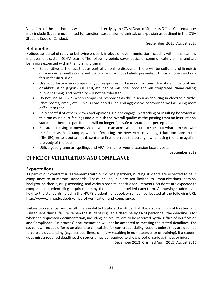Violations of these principles will be handled directly by the CNM Dean of Students Office. Consequences may include (but are not limited to) sanction, suspension, dismissal, or expulsion as outlined in the CNM Student Code of Conduct.

September, 2015, August 2017

## <span id="page-34-0"></span>**Netiquette**

Netiquette is a set of rules for behaving properly in electronic communication including within the learning management system (CNM Learn). The following points cover basics of communicating online and are behaviors expected within the nursing program:

- Be sensitive to the fact that as part of an online discussion there will be cultural and linguistic differences, as well as different political and religious beliefs presented. This is an open and safe forum for discussion.
- Use good taste when composing your responses in Discussion Forums. Use of slang, pejoratives, or abbreviation jargon (LOL, TMI, etc) can be misunderstood and misinterpreted. Name calling, public shaming, and profanity will not be tolerated.
- Do not use ALL CAPS when composing responses as this is seen as shouting in electronic circles (chat rooms, email, etc). This is considered rude and aggressive behavior as well as being more difficult to read.
- Be respectful of others' views and opinions. Do not engage in attacking or insulting behaviors as this can cause hurt feelings and diminish the overall quality of the posting from an instructional standpoint because participants will no longer feel safe to share their perceptions.
- Be cautious using acronyms. When you use an acronym, be sure to spell out what it means with the first use. For example, when referencing the New Mexico Nursing Education Consortium (NMNEC) write it out as in this sentence first, then use the acronym when using the term again in the body of the post.
- Utilize good grammar, spelling, and APA format for your discussion board posts.

September 2019

## <span id="page-34-1"></span>**OFFICE OF VERIFICATION AND COMPLIANCE**

## <span id="page-34-2"></span>**Expectations**

As part of our contractual agreements with our clinical partners, nursing students are expected to be in compliance to numerous standards. These include, but are not limited to, immunizations, criminal background checks, drug screening, and various hospital-specific requirements. Students are expected to complete all credentialing requirements by the deadlines provided each term. All nursing students are held to the standards listed in the HWPS student handbook which can be located at the following URL: [http://www.cnm.edu/depts/office-of-verification-and-compliance.](http://www.cnm.edu/depts/office-of-verification-and-compliance)

Failure to credential will result in an inability to place the student at the assigned clinical location and subsequent clinical failure. When the student is given a deadline by CNM personnel, the deadline is for when the requested documentation, including lab results, are to be received by the Office of Verification and Compliance. "In process" documentation will not be accepted as meeting the stated deadlines. The student will not be offered an alternate clinical site for non-credentialing reasons unless they are deemed to be truly outstanding (e.g., serious illness or injury resulting in non-attendance of training). If a student does miss a required deadline, the student may be required to show proof of serious illness or injury.

December 2013, Clarified April, 2015; August 2017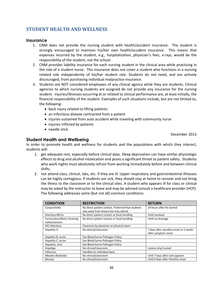## <span id="page-35-0"></span>**STUDENT HEALTH AND WELLNESS**

#### <span id="page-35-1"></span>**Insurance**

- 1. CNM does not provide the nursing student with health/accident insurance. The student is strongly encouraged to maintain his/her own health/accident insurance. This means that expenses incurred by the student, e.g., hospitalization, physician's fees, x-rays, would be the responsibility of the student, not the school.
- 2. CNM provides liability insurance for each nursing student in the clinical area while practicing in the role of a student nurse. This insurance does not cover a student who functions in a nursing related role independently of his/her student role. Students do not need, and are actively discouraged, from purchasing individual malpractice insurance.
- 3. Students are NOT considered employees of any clinical agency while they are students. Clinical agencies to which nursing students are assigned do not provide any insurance for the nursing student. Injuries/illnesses occurring at or related to clinical performance are, at least initially, the financial responsibility of the student. Examples of such situations include, but are not limited to, the following:
	- back injury related to lifting patients
	- an infectious disease contracted from a patient
	- injuries sustained from auto accident while traveling with community nurse
	- injuries inflicted by patients
	- needle stick.

December 2013

## <span id="page-35-2"></span>**Student Health and Wellbeing**

In order to promote health and wellness for students and the populations with which they interact, students will:

- 1. get adequate rest, especially before clinical days. Sleep deprivation can have similar physiologic effects to drug and alcohol intoxication and poses a significant threat to patient safety. Students who work nights must absolutely refrain from working immediately before and between clinical shifts.
- 2. not attend class, clinical, labs, etc. if they are ill. Upper respiratory and gastrointestinal illnesses can be highly contagious. If students are sick, they should stay at home to recover and not bring the illness to the classroom or to the clinical sites. A student who appears ill for class or clinical may be asked by the instructor to leave and may be advised consult a healthcare provider (HCP). The following addresses some (but not all) common conditions:

| <b>CONDITION</b>             | <b>RESTRICTION</b>                                 | <b>RETURN</b>                          |
|------------------------------|----------------------------------------------------|----------------------------------------|
| Conjunctivitis               | No direct patient contact. Preferred that students | 24 hours after Rx started              |
|                              | stay away from theory but may attend.              |                                        |
| Diarrhea>48 hrs              | No direct patient contact or food handling         | Until resolved                         |
| Furunculosis/Boils/ Draining | No direct patient contact or food handling         | Until no drainage                      |
| rashes/Lesions               |                                                    |                                        |
| <b>HIV Infections</b>        | Clearance by physician on physical exam            |                                        |
| Hepatitis A                  | No clinical/classroom                              | 7 days after Jaundice onset or 2 weeks |
|                              |                                                    | after symptom onset                    |
| Hepatitis B, acute           | See Blood borne Pathogen Policy                    |                                        |
| Hepatitis C, acute           | See Blood borne Pathogen Policy                    |                                        |
| Hepatitis, viral             | See Blood borne Pathogen Policy                    |                                        |
| Impetigo                     | No clinical/classroom                              | Lesions dry/crusted                    |
| Influenza                    | Handled on individual basis                        |                                        |
| Measles (Rubeola)            | No clinical/classroom                              | Until 7 days after rash appears        |
| Mumps                        | No clinical/classroom                              | Until 9 days after Parotitis onset     |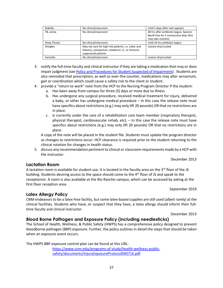| Rubella             | No clinical/classroom                                                                                                       | Until 5 days after rash appears                                                                        |
|---------------------|-----------------------------------------------------------------------------------------------------------------------------|--------------------------------------------------------------------------------------------------------|
| TB, active          | No clinical/classroom                                                                                                       | 48 hrs after antibiotic begun, Sputum<br>Bacilli free for 3 consecutive days (this<br>may take months) |
| <b>Strep Throat</b> | No clinical/classroom                                                                                                       | Until 24 hrs antibiotic begun                                                                          |
| Shingles            | May not care for high-risk patients, i.e. Labor and<br>Delivery, postpartum, newborns <1, or Immuno-<br>suppressed patients | Lesions dry/crusted                                                                                    |
| Varicella           | No clinical/classroom                                                                                                       | Lesions dry/crusted                                                                                    |

- 3. notify the full-time faculty and clinical instructor if they are taking a medication that may or does impair judgment (se[e Policy and Procedures for Student Suspected of Impairment\)](https://www.cnm.edu/programs-of-study/health-wellness-public-safety/documents/suspected-impairment.pdf). Students are also reminded that prescription, as well as over-the-counter, medications may alter sensorium, gait or coordination which could cause a safety risk to the client or student.
- 4. provide a "return to work" note from the HCP to the Nursing Program Director if the student:
	- a. Has been away from campus for three (3) days or more due to illness
	- b. Has undergone any surgical procedure, received medical treatment for injury, delivered a baby, or other has undergone medical procedure – In this case the release note must have specifics about restrictions (e.g.) may only lift 20 pounds) OR that no restrictions are in place.
	- c. Is currently under the care of a rehabilitation care team member (respiratory therapist, physical therapist, cardiovascular rehab, etc). – In this case the release note must have specifics about restrictions (e.g.) may only lift 20 pounds) OR that no restrictions are in place.

A copy of the note will be placed in the student file. Students must update the program director as changes to restrictions occur. HCP clearance is required prior to the student returning to the clinical rotation for changes in health status.

5. discuss any recommendation pertinent to clinical or classroom requirements made by a HCP with the instructor.

#### December 2013

#### <span id="page-36-0"></span>**Lactation Room**

A lactation room is available for student use. It is located in the faculty area on the  $3<sup>rd</sup>$  floor of the JS building. Students desiring access to the space should come to the 4<sup>th</sup> floor of JS and speak to the receptionist. A room is also available at the Rio Rancho campus, which can be accessed by asking at the first floor reception area.

September 2019

#### <span id="page-36-1"></span>**Latex Allergy Policy**

CNM endeavors to be a latex-free facility, but some latex-based supplies are still used (albeit rarely) at the clinical facilities. Students who have, or suspect that they have, a latex allergy should inform their fulltime faculty and clinical instructor.

December 2013

#### <span id="page-36-2"></span>**Blood Borne Pathogen and Exposure Policy (including needlesticks)**

The School of Health, Wellness, & Public Safety (HWPS) has a comprehensive policy designed to prevent bloodborne pathogen (BBP) exposure. Further, the policy outlines in detail the steps that should be taken when an exposure event occurs.

The HWPS BBP exposure control plan can be found at this URL:

[https://www.cnm.edu/programs-of-study/health-wellness-public](https://www.cnm.edu/programs-of-study/health-wellness-public-safety/documents/InjuryExposureProtocol040716.pdf)[safety/documents/InjuryExposureProtocol040716.pdf](https://www.cnm.edu/programs-of-study/health-wellness-public-safety/documents/InjuryExposureProtocol040716.pdf)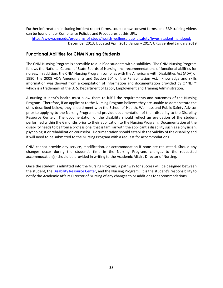Further information, including incident report forms, source draw consent forms, and BBP training videos can be found under Compliance Policies and Procedures at this URL:

<https://www.cnm.edu/programs-of-study/health-wellness-public-safety/hwps-student-handbook> December 2013, Updated April 2015, January 2017, URLs verified January 2019

## <span id="page-37-0"></span>**Functional Abilities for CNM Nursing Students**

The CNM Nursing Program is accessible to qualified students with disabilities. The CNM Nursing Program follows the National Council of State Boards of Nursing, Inc. recommendations of functional abilities for nurses. In addition, the CNM Nursing Program complies with the Americans with Disabilities Act (ADA) of 1990, the 2008 ADA Amendments and Section 504 of the Rehabilitation Act. Knowledge and skills information was derived from a compilation of information and documentation provided by O\*NET™ which is a trademark of the U. S. Department of Labor, Employment and Training Administration.

A nursing student's health must allow them to fulfill the requirements and outcomes of the Nursing Program. Therefore, if an applicant to the Nursing Program believes they are unable to demonstrate the skills described below, they should meet with the School of Health, Wellness and Public Safety Advisor prior to applying to the Nursing Program and provide documentation of their disability to the Disability Resource Center. The documentation of the disability should reflect an evaluation of the student performed within the 6 months prior to their application to the Nursing Program. Documentation of the disability needs to be from a professional that is familiar with the applicant's disability such as a physician, psychologist or rehabilitation counselor. Documentation should establish the validity of the disability and it will need to be submitted to the Nursing Program with a request for accommodations.

CNM cannot provide any service, modification, or accommodation if none are requested. Should any changes occur during the student's time in the Nursing Program, changes to the requested accommodation(s) should be provided in writing to the Academic Affairs Director of Nursing.

Once the student is admitted into the Nursing Program, a pathway for success will be designed between the student, th[e Disability Resource Center,](https://www.cnm.edu/depts/disability-resource-center) and the Nursing Program. It is the student's responsibility to notify the Academic Affairs Director of Nursing of any changes to or additions for accommodations.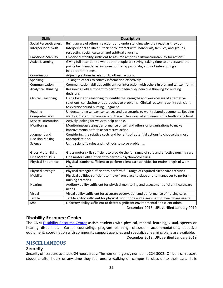| <b>Skills</b>                | <b>Description</b>                                                                         |
|------------------------------|--------------------------------------------------------------------------------------------|
| <b>Social Perceptiveness</b> | Being aware of others' reactions and understanding why they react as they do.              |
| Interpersonal Skills         | Interpersonal abilities sufficient to interact with individuals, families, and groups,     |
|                              | respecting social, cultural, and spiritual diversity.                                      |
| <b>Emotional Stability</b>   | Emotional stability sufficient to assume responsibility/accountability for actions.        |
| <b>Active Listening</b>      | Giving full attention to what other people are saying, taking time to understand the       |
|                              | points being made, asking questions as appropriate, and not interrupting at                |
|                              | inappropriate times.                                                                       |
| Coordination                 | Adjusting actions in relation to others' actions.                                          |
| Speaking                     | Talking to others to convey information effectively.                                       |
| Communication                | Communication abilities sufficient for interaction with others in oral and written form.   |
| <b>Analytical Thinking</b>   | Reasoning skills sufficient to perform deductive/inductive thinking for nursing            |
|                              | decisions.                                                                                 |
| <b>Clinical Reasoning</b>    | Using logic and reasoning to identify the strengths and weaknesses of alternative          |
|                              | solutions, conclusion or approaches to problems. Clinical reasoning ability sufficient     |
|                              | to exercise sound nursing judgment.                                                        |
| Reading                      | Understanding written sentences and paragraphs to work related documents. Reading          |
| Comprehension                | ability sufficient to comprehend the written word at a minimum of a tenth grade level.     |
| Service Orientation          | Actively looking for ways to help people.                                                  |
| Monitoring                   | Monitoring/assessing performance of self and others or organizations to make               |
|                              | improvements or to take corrective action.                                                 |
| Judgment and                 | Considering the relative costs and benefits of potential actions to choose the most        |
| <b>Decision Making</b>       | appropriate one.                                                                           |
| Science                      | Using scientific rules and methods to solve problems.                                      |
| <b>Gross Motor Skills</b>    | Gross motor skills sufficient to provide the full range of safe and effective nursing care |
| <b>Fine Motor Skills</b>     | Fine motor skills sufficient to perform psychomotor skills.                                |
| Physical Endurance           | Physical stamina sufficient to perform client care activities for entire length of work    |
|                              | role.                                                                                      |
| Physical Strength            | Physical strength sufficient to perform full range of required client care activities.     |
| Mobility                     | Physical abilities sufficient to move from place to place and to maneuver to perform       |
|                              | nursing activities.                                                                        |
| Hearing                      | Auditory ability sufficient for physical monitoring and assessment of client healthcare    |
|                              | needs.                                                                                     |
| Visual                       | Visual ability sufficient for accurate observation and performance of nursing care.        |
| Tactile                      | Tactile ability sufficient for physical monitoring and assessment of healthcare needs      |
| Smell                        | Olfactory ability sufficient to detect significant environmental and client odors.         |

December 2013, URL verified January 2019

#### <span id="page-38-0"></span>**Disability Resource Center**

The CNM [Disability Resource Center](https://www.cnm.edu/depts/disability-resource-center) assists students with physical, mental, learning, visual, speech or hearing disabilities. Career counseling, program planning, classroom accommodations, adaptive equipment, coordination with community support agencies and specialized learning plans are available. December 2013, URL verified January 2019

#### <span id="page-38-1"></span>**MISCELLANEOUS**

#### <span id="page-38-2"></span>**Security**

Security officers are available 24 hours a day. The non-emergency number is 224-3002. Officers can escort students after hours or any time they feel unsafe walking on campus to class or to their cars. It is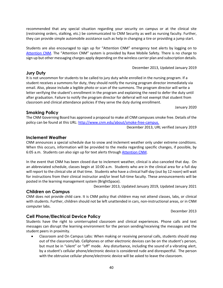recommended that any special situation regarding your security on campus or at the clinical site (restraining orders, stalking, etc.) be communicated to CNM Security as well as nursing faculty. Further, they can provide simple automobile assistance such as help in changing a tire or providing a jump start.

Students are also encouraged to sign up for "Attention CNM" emergency text alerts by logging on to [Attention CNM.](https://www.cnm.edu/depts/mco/attention-cnm?utm_source=cnm_newslink&utm_medium=email&utm_campaign=newslink) The "Attention CNM" system is provided by Rave Mobile Safety. There is no charge to sign up but other messaging charges apply depending on the wireless carrier plan and subscription details.

December 2013, Updated January 2019

<span id="page-39-0"></span>**Jury Duty**

It is not uncommon for students to be called to jury duty while enrolled in the nursing program. If a student receives a summons for duty, they should notify the nursing program director immediately via email. Also, please include a legible photo or scan of the summons. The program director will write a letter verifying the student's enrollment in the program and explaining the need to defer the duty until after graduation. Failure to notify the program director for deferral will not exempt that student from classroom and clinical attendance policies if they serve the duty during enrollment.

January 2020

## <span id="page-39-1"></span>**Smoking Policy**

The CNM Governing Board has approved a proposal to make all CNM campuses smoke free. Details of the policy can be found at this URL: [http://www.cnm.edu/about/smoke-free-campus.](http://www.cnm.edu/about/smoke-free-campus)

December 2013, URL verified January 2019

#### <span id="page-39-2"></span>**Inclement Weather**

CNM announces a special schedule due to snow and inclement weather only under extreme conditions. When this occurs, information will be provided to the media regarding specific changes, if possible, by 6:05 a.m. Students can also sign up for text alerts through [Attention CNM.](https://www.cnm.edu/depts/mco/attention-cnm?utm_source=cnm_newslink&utm_medium=email&utm_campaign=newslink)

In the event that CNM has been closed due to inclement weather, clinical is also canceled that day. On an abbreviated schedule, classes begin at 10:00 a.m. Students who are in the clinical area for a full day will report to the clinical site at that time. Students who have a clinical half-day (out by 12 noon) will wait for instructions from their clinical instructor and/or level full-time faculty. These announcements will be posted in the learning management system (BrightSpace).

December 2013, Updated January 2019, Updated January 2021

#### <span id="page-39-3"></span>**Children on Campus**

CNM does not provide child care. It is CNM policy that children may not attend classes, labs, or clinical with students. Further, children should not be left unattended in cars, non-instructional areas, or in CNM computer labs.

December 2013

#### <span id="page-39-4"></span>**Cell Phone/Electrical Device Policy**

Students have the right to uninterrupted classroom and clinical experiences. Phone calls and text messages can disrupt the learning environment for the person sending/receiving the messages and the student peers in proximity.

• Classroom and On Campus Labs: When making or receiving personal calls, students should step out of the classroom/lab. Cellphones or other electronic devices can be on the student's person, but must be in "silent" or "off" mode. Any disturbance, including the sound of a vibrating alert, by a student's cellular phone/electronic device is considered rude and disrespectful. The person with the obtrusive cellular phone/electronic device will be asked to leave the classroom.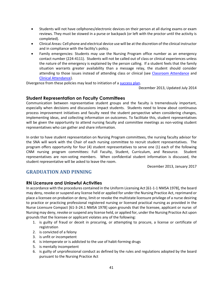- Students will not have cellphones/electronic devices on their person at all during exams or exam reviews. They must be stowed in a purse or backpack (or left with the proctor until the activity is completed).
- Clinical Areas: Cell phone and electrical device use will be at the discretion of the clinical instructor and in compliance with the facility's policy.
- Family emergencies: Students may use the Nursing Program office number as an emergency contact number (224-4111). Students will not be called out of class or clinical experiences unless the nature of the emergency is explained by the person calling. If a student feels that the family situation warrants greater availability than a message relay, the student should consider attending to those issues instead of attending class or clinical (see [Classroom Attendance](#page-22-1) and [Clinical Attendance\)](#page-26-0).

Divergence from these policies may lead to initiation of a [success plan.](#page-28-0)

December 2013, Updated July 2014

#### <span id="page-40-0"></span>**Student Representation on Faculty Committees**

Communication between representative student groups and the faculty is tremendously important, especially when decisions and discussions impact students. Students need to know about continuous process improvement initiatives and faculty need the student perspective when considering changes, implementing ideas, and collecting information on outcomes. To facilitate this, student representatives will be given the opportunity to attend nursing faculty and committee meetings as non-voting student representatives who can gather and share information.

In order to have student representation on Nursing Program committees, the nursing faculty advisor for the SNA will work with the Chair of each nursing committee to recruit student representatives. The program offers opportunity for four (4) student representatives to serve one (1) each of the following CNM nursing program committees: Full Faculty, Student, Curriculum, and Resource. Student representatives are non-voting members. When confidential student information is discussed, the student representative will be asked to leave the room.

December 2013, January 2017

## <span id="page-40-1"></span>**GRADUATION AND PINNING**

## <span id="page-40-2"></span>**RN Licensure and Unlawful Activities**

In accordance with the procedures contained in the Uniform Licensing Act [61-1-1 NMSA 1978], the board may deny, revoke or suspend any license held or applied for under the Nursing Practice Act, reprimand or place a licensee on probation or deny, limit or revoke the multistate licensure privilege of a nurse desiring to practice or practicing professional registered nursing or licensed practical nursing as provided in the Nurse Licensure Compact [61-3-24.1 NMSA 1978] upon grounds that the licensee, applicant or nurse: of Nursing may deny, revoke or suspend any license held, or applied for, under the Nursing Practice Act upon grounds that the licensee or applicant violates any of the following:

- 1. is guilty of fraud or deceit in procuring, or attempting to procure, a license or certificate of registration
- 2. is convicted of a felony
- 3. is unfit or incompetent
- 4. is intemperate or is addicted to the use of habit-forming drugs
- 5. is mentally incompetent
- 6. is guilty of unprofessional conduct as defined by the rules and regulations adopted by the board pursuant to the Nursing Practice Act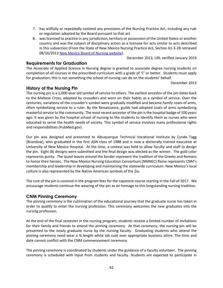- 7. has willfully or repeatedly violated any provisions of the Nursing Practice Act, including any rule or regulation adopted by the Board pursuant to that act
- 8. was licensed to practice in any jurisdiction, territory or possession of the United States or another country and was the subject of disciplinary action as a licensee for acts similar to acts described in this subsection (From the State of New Mexico Nursing Practice Act, Section 61-3-28 retrieved 08/16/2013 [New Mexico Board of Nursing website\)](http://nmbon.sks.com/rules-regulations.aspx).

December 2013, URL verified January 2019

#### <span id="page-41-0"></span>**Requirements for Graduation**

The Associate of Applied Science in Nursing degree is granted to associate degree nursing students on completion of all courses in the prescribed curriculum with a grade of 'C' or better. Students must apply for graduation; this is not something the school of nursing can do on the students' behalf.

December 2013

#### <span id="page-41-1"></span>**History of the Nursing Pin**

The nursing pin is a 1,000-year old symbol of service to others. The earliest ancestor of the pin dates back to the Maltese Cross, adopted by crusaders and worn on their habits as a symbol of service. Over the centuries, variations of the crusader's symbol were gradually modified and became family coats of arms, often symbolizing service to a ruler. By the Renaissance, guilds had adopted coats of arms symbolizing masterful service to the community. The most recent ancestor of the pin is the hospital badge of 100 years ago. It was given by the hospital school of nursing to the students to identify them as nurses who were educated to serve the health needs of society. This symbol of service involves many professional rights and responsibilities (PubMed.gov).

Our pin was designed and presented to Albuquerque Technical Vocational Institute by Cynde Tagg (Brandow), who graduated in the first ASN class of 1988 and is now a doctorally trained executive at University of New Mexico Hospital. At the time, a contest was held to allow faculty and staff to design the pin. Eight (8) designs were submitted and the final design was elected as the winner. The gold color represents purity. The laurel leaves around the border represent the tradition of the Greeks and Romans to honor their heroes. The New Mexico Nursing Education Consortium (NMNEC) flame represents CNM's membership and leadership in developing and maintaining the statewide curriculum. New Mexico's local culture is also represented by the Native American symbols of the Zia.

The cost of the pin is covered in the program fees for the capstone course starting in the Fall of 2017. We encourage students continue the wearing of the pin as an homage to this longstanding nursing tradition.

## <span id="page-41-2"></span>**CNM Pinning Ceremony**

The pinning ceremony is the culmination of the educational journey that the graduate nurse has taken in order to qualify to enter the nursing profession. This ceremony welcomes the new graduates into the nursing profession.

At the end of the final semester in the nursing program, students receive a limited number of invitations for their family and friends to attend the pinning ceremony. At that ceremony, the nursing pin will be presented to the newly graduate nurse by the nursing faculty. Graduating students who attend the pinning ceremony need wear a ¾ length white lab coat over appropriate business attire. The time and date cannot conflict with the CNM commencement ceremony.

The pinning ceremony is coordinated by students under the guidance of a faculty volunteer. The pinning ceremony is scheduled with input from students and faculty. Students are expected to participate in